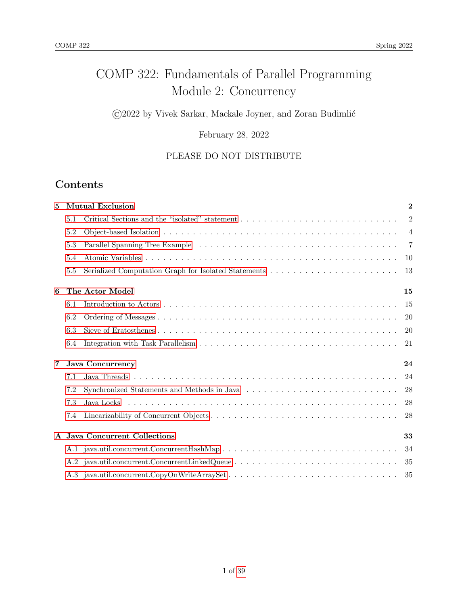# COMP 322: Fundamentals of Parallel Programming Module 2: Concurrency

# $\bigodot$  2022 by Vivek Sarkar, Mackale Joyner, and Zoran Budimlić

# February 28, 2022

# PLEASE DO NOT DISTRIBUTE

# Contents

| 5              |     | <b>Mutual Exclusion</b>                      |                |  |  |
|----------------|-----|----------------------------------------------|----------------|--|--|
|                | 5.1 |                                              | $\overline{2}$ |  |  |
|                | 5.2 |                                              | $\overline{4}$ |  |  |
|                | 5.3 |                                              | $\overline{7}$ |  |  |
|                | 5.4 |                                              | 10             |  |  |
|                | 5.5 |                                              | 13             |  |  |
| 6              |     | The Actor Model                              | 15             |  |  |
|                | 6.1 |                                              | 15             |  |  |
|                | 6.2 |                                              | 20             |  |  |
|                | 6.3 |                                              | 20             |  |  |
|                | 6.4 |                                              | 21             |  |  |
| $\overline{7}$ |     | <b>Java Concurrency</b>                      | 24             |  |  |
|                | 7.1 |                                              | 24             |  |  |
|                | 7.2 |                                              | 28             |  |  |
|                | 7.3 |                                              | 28             |  |  |
|                | 7.4 |                                              | 28             |  |  |
|                |     | A Java Concurrent Collections                | 33             |  |  |
|                |     |                                              | 34             |  |  |
|                |     |                                              | 35             |  |  |
|                |     | A.3 java.util.concurrent.CopyOnWriteArraySet | 35             |  |  |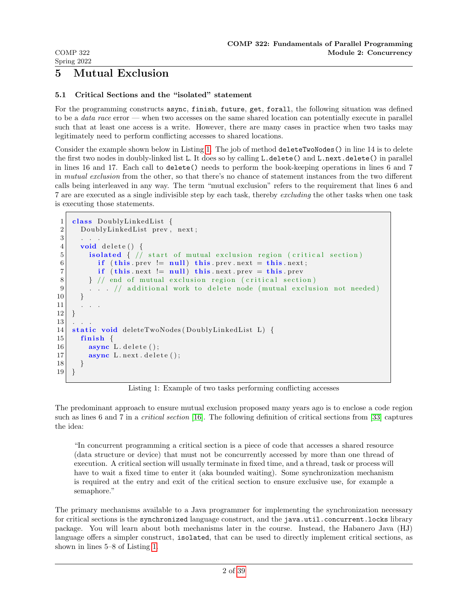# <span id="page-1-0"></span>5 Mutual Exclusion

### <span id="page-1-1"></span>5.1 Critical Sections and the "isolated" statement

For the programming constructs async, finish, future, get, forall, the following situation was defined to be a data race error — when two accesses on the same shared location can potentially execute in parallel such that at least one access is a write. However, there are many cases in practice when two tasks may legitimately need to perform conflicting accesses to shared locations.

Consider the example shown below in Listing [1.](#page-1-2) The job of method deleteTwoNodes() in line 14 is to delete the first two nodes in doubly-linked list L. It does so by calling L.delete() and L.next.delete() in parallel in lines 16 and 17. Each call to delete() needs to perform the book-keeping operations in lines 6 and 7 in mutual exclusion from the other, so that there's no chance of statement instances from the two different calls being interleaved in any way. The term "mutual exclusion" refers to the requirement that lines 6 and 7 are are executed as a single indivisible step by each task, thereby excluding the other tasks when one task is executing those statements.

```
1 class DoublyLinkedList {
2 DoublyLinkedList prev, next;
3 . . .
4 void delete() {
5 isolated { // start of mutual exclusion region (critical section)
6 if (this prev != null) this prev next = this next;
7 if (this next != null) this next . prev = this . prev
8 } // end of mutual exclusion region (critical section)
9 . . . // additional work to delete node (mutual exclusion not needed)
10 }
11
|12| }
1314 static void deleteTwoNodes (DoublyLinkedList L) {
|15| finish {
16 async L. delete ();
17 async L. next. delete ();
18 }
19 }
```
Listing 1: Example of two tasks performing conflicting accesses

The predominant approach to ensure mutual exclusion proposed many years ago is to enclose a code region such as lines 6 and 7 in a *critical section* [\[16\]](#page-37-0). The following definition of critical sections from [\[33\]](#page-38-1) captures the idea:

"In concurrent programming a critical section is a piece of code that accesses a shared resource (data structure or device) that must not be concurrently accessed by more than one thread of execution. A critical section will usually terminate in fixed time, and a thread, task or process will have to wait a fixed time to enter it (aka bounded waiting). Some synchronization mechanism is required at the entry and exit of the critical section to ensure exclusive use, for example a semaphore."

The primary mechanisms available to a Java programmer for implementing the synchronization necessary for critical sections is the synchronized language construct, and the java.util.concurrent.locks library package. You will learn about both mechanisms later in the course. Instead, the Habanero Java (HJ) language offers a simpler construct, isolated, that can be used to directly implement critical sections, as shown in lines 5–8 of Listing [1.](#page-1-2)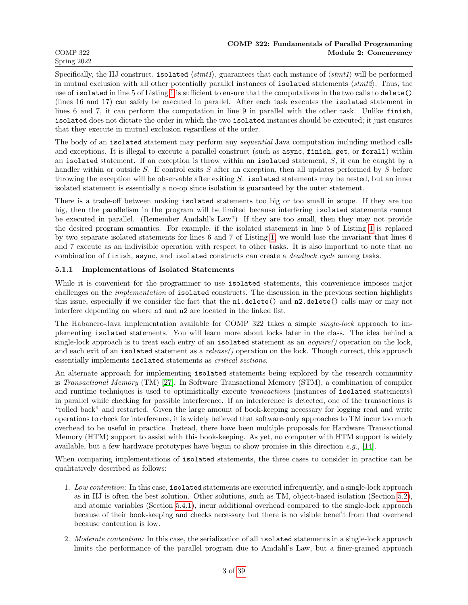Specifically, the HJ construct, isolated  $\langle \textit{stmt1} \rangle$ , guarantees that each instance of  $\langle \textit{stmt1} \rangle$  will be performed in mutual exclusion with all other potentially parallel instances of isolated statements  $\langle \textit{stmt2} \rangle$ . Thus, the use of isolated in line 5 of Listing [1](#page-1-2) is sufficient to ensure that the computations in the two calls to delete() (lines 16 and 17) can safely be executed in parallel. After each task executes the isolated statement in lines 6 and 7, it can perform the computation in line 9 in parallel with the other task. Unlike finish, isolated does not dictate the order in which the two isolated instances should be executed; it just ensures that they execute in mutual exclusion regardless of the order.

The body of an isolated statement may perform any sequential Java computation including method calls and exceptions. It is illegal to execute a parallel construct (such as async, finish, get, or forall) within an isolated statement. If an exception is throw within an isolated statement, S, it can be caught by a handler within or outside S. If control exits S after an exception, then all updates performed by S before throwing the exception will be observable after exiting S. isolated statements may be nested, but an inner isolated statement is essentially a no-op since isolation is guaranteed by the outer statement.

There is a trade-off between making isolated statements too big or too small in scope. If they are too big, then the parallelism in the program will be limited because interfering isolated statements cannot be executed in parallel. (Remember Amdahl's Law?) If they are too small, then they may not provide the desired program semantics. For example, if the isolated statement in line 5 of Listing [1](#page-1-2) is replaced by two separate isolated statements for lines 6 and 7 of Listing [1,](#page-1-2) we would lose the invariant that lines 6 and 7 execute as an indivisible operation with respect to other tasks. It is also important to note that no combination of finish, async, and isolated constructs can create a *deadlock cycle* among tasks.

# <span id="page-2-0"></span>5.1.1 Implementations of Isolated Statements

While it is convenient for the programmer to use **isolated** statements, this convenience imposes major challenges on the implementation of isolated constructs. The discussion in the previous section highlights this issue, especially if we consider the fact that the n1.delete() and n2.delete() calls may or may not interfere depending on where n1 and n2 are located in the linked list.

The Habanero-Java implementation available for COMP 322 takes a simple single-lock approach to implementing isolated statements. You will learn more about locks later in the class. The idea behind a single-lock approach is to treat each entry of an isolated statement as an  $acquire()$  operation on the lock, and each exit of an isolated statement as a  $release()$  operation on the lock. Though correct, this approach essentially implements isolated statements as critical sections.

An alternate approach for implementing isolated statements being explored by the research community is Transactional Memory (TM) [\[27\]](#page-38-2). In Software Transactional Memory (STM), a combination of compiler and runtime techniques is used to optimistically execute transactions (instances of isolated statements) in parallel while checking for possible interference. If an interference is detected, one of the transactions is "rolled back" and restarted. Given the large amount of book-keeping necessary for logging read and write operations to check for interference, it is widely believed that software-only approaches to TM incur too much overhead to be useful in practice. Instead, there have been multiple proposals for Hardware Transactional Memory (HTM) support to assist with this book-keeping. As yet, no computer with HTM support is widely available, but a few hardware prototypes have begun to show promise in this direction  $e.q.,$  [\[14\]](#page-37-1).

When comparing implementations of isolated statements, the three cases to consider in practice can be qualitatively described as follows:

- 1. Low contention: In this case, isolated statements are executed infrequently, and a single-lock approach as in HJ is often the best solution. Other solutions, such as TM, object-based isolation (Section [5.2\)](#page-3-0), and atomic variables (Section [5.4.1\)](#page-9-1), incur additional overhead compared to the single-lock approach because of their book-keeping and checks necessary but there is no visible benefit from that overhead because contention is low.
- 2. Moderate contention: In this case, the serialization of all isolated statements in a single-lock approach limits the performance of the parallel program due to Amdahl's Law, but a finer-grained approach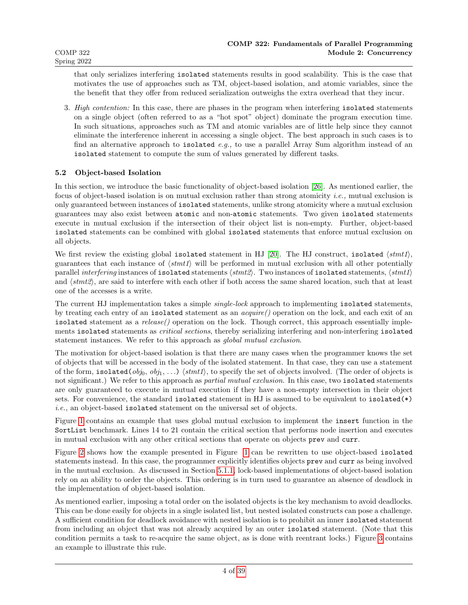that only serializes interfering isolated statements results in good scalability. This is the case that motivates the use of approaches such as TM, object-based isolation, and atomic variables, since the the benefit that they offer from reduced serialization outweighs the extra overhead that they incur.

3. High contention: In this case, there are phases in the program when interfering isolated statements on a single object (often referred to as a "hot spot" object) dominate the program execution time. In such situations, approaches such as TM and atomic variables are of little help since they cannot eliminate the interference inherent in accessing a single object. The best approach in such cases is to find an alternative approach to isolated e.g., to use a parallel Array Sum algorithm instead of an isolated statement to compute the sum of values generated by different tasks.

# <span id="page-3-0"></span>5.2 Object-based Isolation

In this section, we introduce the basic functionality of object-based isolation [\[26\]](#page-38-3). As mentioned earlier, the focus of object-based isolation is on mutual exclusion rather than strong atomicity i.e., mutual exclusion is only guaranteed between instances of isolated statements, unlike strong atomicity where a mutual exclusion guarantees may also exist between atomic and non-atomic statements. Two given isolated statements execute in mutual exclusion if the intersection of their object list is non-empty. Further, object-based isolated statements can be combined with global isolated statements that enforce mutual exclusion on all objects.

We first review the existing global isolated statement in HJ [\[20\]](#page-37-2). The HJ construct, isolated  $\langle$ *stmt1* $\rangle$ , guarantees that each instance of  $\langle \textit{stmt1}\rangle$  will be performed in mutual exclusion with all other potentially parallel interfering instances of isolated statements  $\langle \textit{stmt2} \rangle$ . Two instances of isolated statements,  $\langle \textit{stmt1} \rangle$ and  $\langle \text{stmt2} \rangle$ , are said to interfere with each other if both access the same shared location, such that at least one of the accesses is a write.

The current HJ implementation takes a simple *single-lock* approach to implementing isolated statements, by treating each entry of an isolated statement as an  $acquire()$  operation on the lock, and each exit of an isolated statement as a release() operation on the lock. Though correct, this approach essentially implements isolated statements as *critical sections*, thereby serializing interfering and non-interfering isolated statement instances. We refer to this approach as *global mutual exclusion*.

The motivation for object-based isolation is that there are many cases when the programmer knows the set of objects that will be accessed in the body of the isolated statement. In that case, they can use a statement of the form, isolated  $(obj_0, obj_1, ...)$  (stmt1), to specify the set of objects involved. (The order of objects is not significant.) We refer to this approach as *partial mutual exclusion*. In this case, two **isolated** statements are only guaranteed to execute in mutual execution if they have a non-empty intersection in their object sets. For convenience, the standard isolated statement in HJ is assumed to be equivalent to isolated(\*) i.e., an object-based isolated statement on the universal set of objects.

Figure [1](#page-4-0) contains an example that uses global mutual exclusion to implement the insert function in the SortList benchmark. Lines 14 to 21 contain the critical section that performs node insertion and executes in mutual exclusion with any other critical sections that operate on objects prev and curr.

Figure [2](#page-5-0) shows how the example presented in Figure [1](#page-4-0) can be rewritten to use object-based isolated statements instead. In this case, the programmer explicitly identifies objects prev and curr as being involved in the mutual exclusion. As discussed in Section [5.1.1,](#page-2-0) lock-based implementations of object-based isolation rely on an ability to order the objects. This ordering is in turn used to guarantee an absence of deadlock in the implementation of object-based isolation.

As mentioned earlier, imposing a total order on the isolated objects is the key mechanism to avoid deadlocks. This can be done easily for objects in a single isolated list, but nested isolated constructs can pose a challenge. A sufficient condition for deadlock avoidance with nested isolation is to prohibit an inner isolated statement from including an object that was not already acquired by an outer isolated statement. (Note that this condition permits a task to re-acquire the same object, as is done with reentrant locks.) Figure [3](#page-5-1) contains an example to illustrate this rule.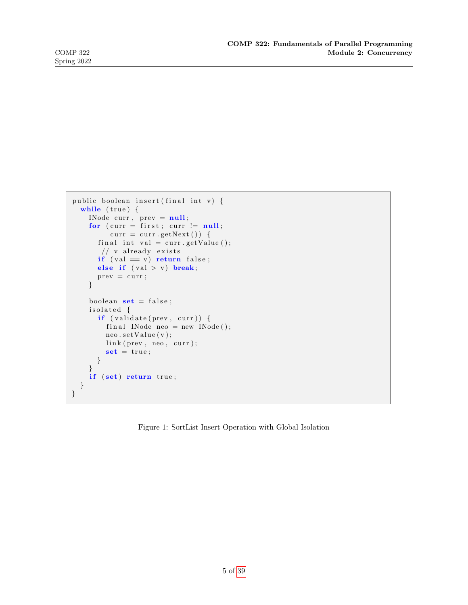```
public boolean insert (final int v) {
  while (true) \{INode \quad curr \ , \ \ prev = null \ ;for ( curr = first; curr != null;
         curr = curr.getNext()) {
      final int val = curr.getValue();
      // v already exists
      if (val = v) return false;
      else if (val > v) break;
      prev = curr;}
    boolean set = false;isolated {
      if (validate (prev, curr))final INode neo = new INode ();
        neo.setValue(v);link (prev, neo, curr);set = true;}
    }
    if (set) return true;
  }
}
```
<span id="page-4-0"></span>Figure 1: SortList Insert Operation with Global Isolation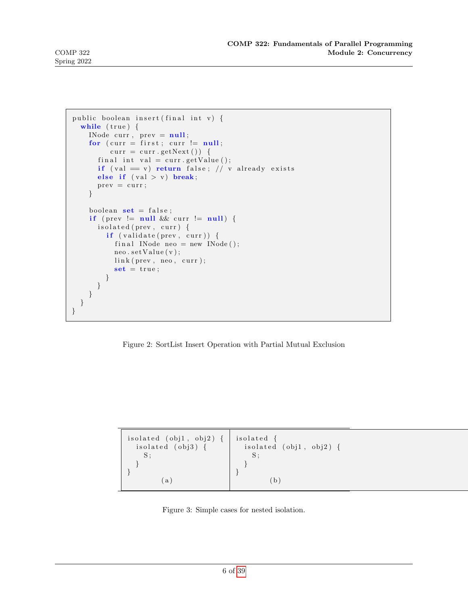```
public boolean insert (final int v) {
  while (true) \{INode curr, prev = null;for ( curr = first; curr != null;
         curr = curr.getNext()) {
      final int val = curr . getValue();
      if (val = v) return false; // v already exists
      else if (val > v) break;
      prev = curr;}
    boolean set = false;if (prev != null && curr != null) {
      isolated (prev, curr) {
        if (validate (prev, curr))final INode neo = new INode();
          neo.setValue(v);link (prev, neo, curr);
          set = true;}
      }
   }
  }
}
```
<span id="page-5-0"></span>Figure 2: SortList Insert Operation with Partial Mutual Exclusion

| isolated (obj1, obj2) | isolated                  |
|-----------------------|---------------------------|
| isolated $(obj3)$ {   | isolated $(obj1, obj2)$ { |
| S:                    | S:                        |
| $\left(a\right)$      | (b)                       |

<span id="page-5-1"></span>Figure 3: Simple cases for nested isolation.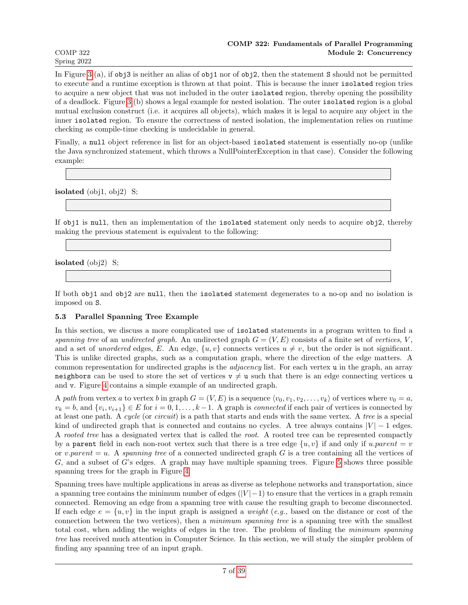In Figure [3](#page-5-1) (a), if obj3 is neither an alias of obj1 nor of obj2, then the statement S should not be permitted to execute and a runtime exception is thrown at that point. This is because the inner isolated region tries to acquire a new object that was not included in the outer isolated region, thereby opening the possibility of a deadlock. Figure [3](#page-5-1) (b) shows a legal example for nested isolation. The outer isolated region is a global mutual exclusion construct (i.e. it acquires all objects), which makes it is legal to acquire any object in the inner isolated region. To ensure the correctness of nested isolation, the implementation relies on runtime checking as compile-time checking is undecidable in general.

Finally, a null object reference in list for an object-based isolated statement is essentially no-op (unlike the Java synchronized statement, which throws a NullPointerException in that case). Consider the following example:

isolated (obj1, obj2) S;

If obj1 is null, then an implementation of the isolated statement only needs to acquire obj2, thereby making the previous statement is equivalent to the following:

isolated (obj2) S;

If both obj1 and obj2 are null, then the isolated statement degenerates to a no-op and no isolation is imposed on S.

#### <span id="page-6-0"></span>5.3 Parallel Spanning Tree Example

In this section, we discuss a more complicated use of isolated statements in a program written to find a spanning tree of an undirected graph. An undirected graph  $G = (V, E)$  consists of a finite set of vertices, V, and a set of *unordered* edges, E. An edge,  $\{u, v\}$  connects vertices  $u \neq v$ , but the order is not significant. This is unlike directed graphs, such as a computation graph, where the direction of the edge matters. A common representation for undirected graphs is the *adjacency* list. For each vertex u in the graph, an array neighbors can be used to store the set of vertices  $v \neq u$  such that there is an edge connecting vertices u and v. Figure [4](#page-7-0) contains a simple example of an undirected graph.

A path from vertex a to vertex b in graph  $G = (V, E)$  is a sequence  $\langle v_0, v_1, v_2, \ldots, v_k \rangle$  of vertices where  $v_0 = a$ ,  $v_k = b$ , and  $\{v_i, v_{i+1}\} \in E$  for  $i = 0, 1, \ldots, k-1$ . A graph is *connected* if each pair of vertices is connected by at least one path. A cycle (or circuit) is a path that starts and ends with the same vertex. A tree is a special kind of undirected graph that is connected and contains no cycles. A tree always contains  $|V| - 1$  edges. A rooted tree has a designated vertex that is called the root. A rooted tree can be represented compactly by a parent field in each non-root vertex such that there is a tree edge  $\{u, v\}$  if and only if u.parent = v or v.parent = u. A spanning tree of a connected undirected graph G is a tree containing all the vertices of G, and a subset of G's edges. A graph may have multiple spanning trees. Figure [5](#page-7-1) shows three possible spanning trees for the graph in Figure [4.](#page-7-0)

Spanning trees have multiple applications in areas as diverse as telephone networks and transportation, since a spanning tree contains the minimum number of edges  $(|V| - 1)$  to ensure that the vertices in a graph remain connected. Removing an edge from a spanning tree with cause the resulting graph to become disconnected. If each edge  $e = \{u, v\}$  in the input graph is assigned a *weight* (e.g., based on the distance or cost of the connection between the two vertices), then a *minimum spanning tree* is a spanning tree with the smallest total cost, when adding the weights of edges in the tree. The problem of finding the minimum spanning tree has received much attention in Computer Science. In this section, we will study the simpler problem of finding any spanning tree of an input graph.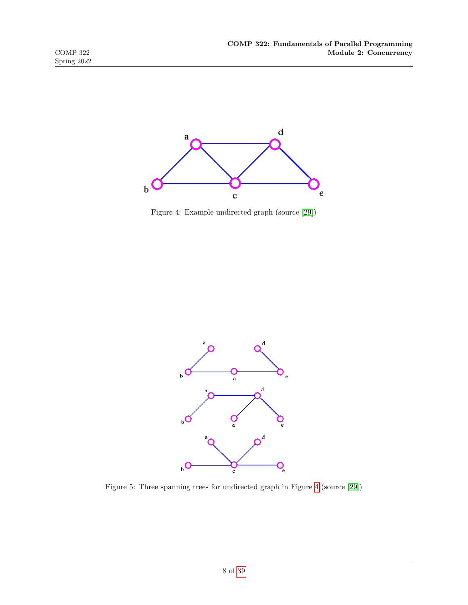

<span id="page-7-0"></span>Figure 4: Example undirected graph (source [\[29\]](#page-38-4))



<span id="page-7-1"></span>Figure 5: Three spanning trees for undirected graph in Figure [4](#page-7-0) (source [\[29\]](#page-38-4))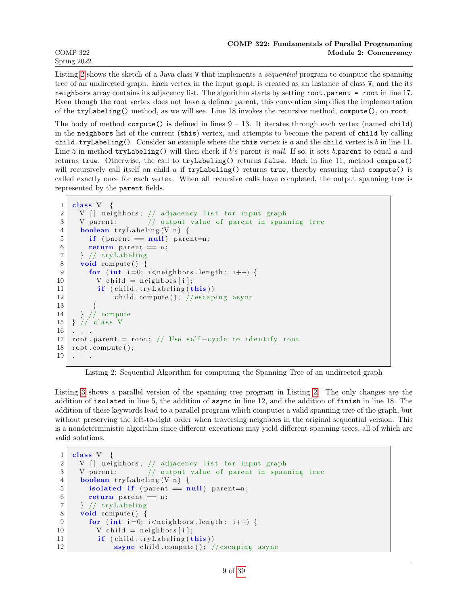Listing [2](#page-8-0) shows the sketch of a Java class V that implements a *sequential* program to compute the spanning tree of an undirected graph. Each vertex in the input graph is created as an instance of class V, and the its neighbors array contains its adjacency list. The algorithm starts by setting root.parent = root in line 17. Even though the root vertex does not have a defined parent, this convention simplifies the implementation of the tryLabeling() method, as we will see. Line 18 invokes the recursive method, compute(), on root.

The body of method compute() is defined in lines  $9 - 13$ . It iterates through each vertex (named child) in the neighbors list of the current (this) vertex, and attempts to become the parent of child by calling child.tryLabeling(). Consider an example where the this vertex is  $a$  and the child vertex is  $b$  in line 11. Line 5 in method tryLabeling() will then check if b's parent is null. If so, it sets b.parent to equal  $a$  and returns true. Otherwise, the call to tryLabeling() returns false. Back in line 11, method compute() will recursively call itself on child  $a$  if  $tryLabeling()$  returns  $true$ , thereby ensuring that compute() is called exactly once for each vertex. When all recursive calls have completed, the output spanning tree is represented by the parent fields.

```
1 class V {
2 V [] neighbors; // adjacency list for input graph
3 V parent; // output value of parent in spanning tree
4 boolean tryLabeling (V n) {
5 if (parent = null) parent=n;
6 return parent = n;
7 } \frac{\ }{\ } \frac{\ }{\ } \frac{\ }{\ } try Labeling
8 void compute () {
9 for (int i=0; i<neighbors length; i++) {
10 V child = neighbors [i];
11 if (child. tryLabeling(this))12 child compute (); //escaping async
13 }
14 } // compute
15 } // class V
16
17 root parent = root; // Use self-cycle to identify root
18 root . compute ();
19 \ldots
```
Listing 2: Sequential Algorithm for computing the Spanning Tree of an undirected graph

Listing [3](#page-8-1) shows a parallel version of the spanning tree program in Listing [2.](#page-8-0) The only changes are the addition of isolated in line 5, the addition of async in line 12, and the addition of finish in line 18. The addition of these keywords lead to a parallel program which computes a valid spanning tree of the graph, but without preserving the left-to-right order when traversing neighbors in the original sequential version. This is a nondeterministic algorithm since different executions may yield different spanning trees, all of which are valid solutions.

```
1 class V {
2 V [] neighbors; // adjacency list for input graph
3 V parent; // output value of parent in spanning tree
4 boolean tryLabeling (V n) {
5 isolated if (parent = null) parent=n;
6 return parent = n;
7 } \frac{1}{\sqrt{2}} tryLabeling
8 void compute () {
9 for (int i=0; i<neighbors.length; i++) {
10 V child = neighbors [i];
11 if (child . tryLabeling (this))
12 async child compute (); //escaping async
```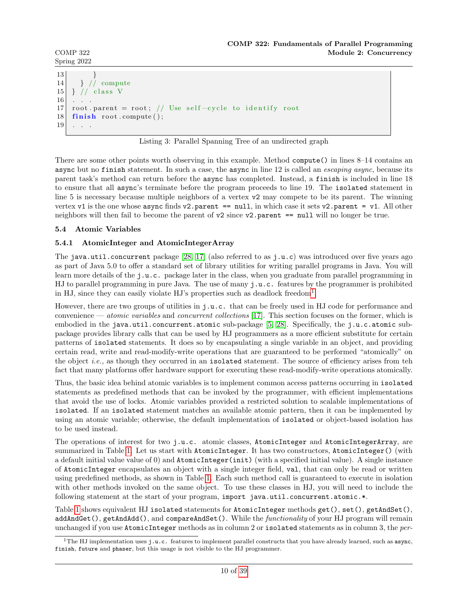```
|13| }
14 } // compute
15 } // class V
16
17 root parent = root; // Use self-cycle to identify root
18 finish root . compute ();
19
```
Listing 3: Parallel Spanning Tree of an undirected graph

There are some other points worth observing in this example. Method compute() in lines 8–14 contains an async but no finish statement. In such a case, the async in line 12 is called an *escaping async*, because its parent task's method can return before the async has completed. Instead, a finish is included in line 18 to ensure that all async's terminate before the program proceeds to line 19. The isolated statement in line 5 is necessary because multiple neighbors of a vertex v2 may compete to be its parent. The winning vertex v1 is the one whose async finds v2.parent  $==$  null, in which case it sets v2.parent  $=$  v1. All other neighbors will then fail to become the parent of  $v2$  since  $v2$ . parent  $==$  null will no longer be true.

# <span id="page-9-0"></span>5.4 Atomic Variables

# <span id="page-9-1"></span>5.4.1 AtomicInteger and AtomicIntegerArray

The java.util.concurrent package  $[28, 17]$  $[28, 17]$  (also referred to as j.u.c) was introduced over five years ago as part of Java 5.0 to offer a standard set of library utilities for writing parallel programs in Java. You will learn more details of the j.u.c. package later in the class, when you graduate from parallel programming in HJ to parallel programming in pure Java. The use of many j.u.c. features by the programmer is prohibited in HJ, since they can easily violate HJ's properties such as deadlock freedom<sup>[1](#page-9-2)</sup>.

However, there are two groups of utilities in j.u.c. that can be freely used in HJ code for performance and convenience — atomic variables and concurrent collections [\[17\]](#page-37-3). This section focuses on the former, which is embodied in the java.util.concurrent.atomic sub-package [\[5,](#page-36-0) [28\]](#page-38-5). Specifically, the j.u.c.atomic subpackage provides library calls that can be used by HJ programmers as a more efficient substitute for certain patterns of isolated statements. It does so by encapsulating a single variable in an object, and providing certain read, write and read-modify-write operations that are guaranteed to be performed "atomically" on the object *i.e.*, as though they occurred in an isolated statement. The source of efficiency arises from teh fact that many platforms offer hardware support for executing these read-modify-write operations atomically.

Thus, the basic idea behind atomic variables is to implement common access patterns occurring in isolated statements as predefined methods that can be invoked by the programmer, with efficient implementations that avoid the use of locks. Atomic variables provided a restricted solution to scalable implementations of isolated. If an isolated statement matches an available atomic pattern, then it can be implemented by using an atomic variable; otherwise, the default implementation of isolated or object-based isolation has to be used instead.

The operations of interest for two j.u.c. atomic classes, AtomicInteger and AtomicIntegerArray, are summarized in Table [1.](#page-10-0) Let us start with AtomicInteger. It has two constructors, AtomicInteger() (with a default initial value value of 0) and AtomicInteger(init) (with a specified initial value). A single instance of AtomicInteger encapsulates an object with a single integer field, val, that can only be read or written using predefined methods, as shown in Table [1.](#page-10-0) Each such method call is guaranteed to execute in isolation with other methods invoked on the same object. To use these classes in HJ, you will need to include the following statement at the start of your program, import java.util.concurrent.atomic.\*.

Table [1](#page-10-0) shows equivalent HJ isolated statements for AtomicInteger methods get(), set(), getAndSet(), addAndGet(), getAndAdd(), and compareAndSet(). While the *functionality* of your HJ program will remain unchanged if you use AtomicInteger methods as in column 2 or isolated statements as in column 3, the per-

<span id="page-9-2"></span><sup>&</sup>lt;sup>1</sup>The HJ implementation uses  $j.u.c.$  features to implement parallel constructs that you have already learned, such as  $async,$ finish, future and phaser, but this usage is not visible to the HJ programmer.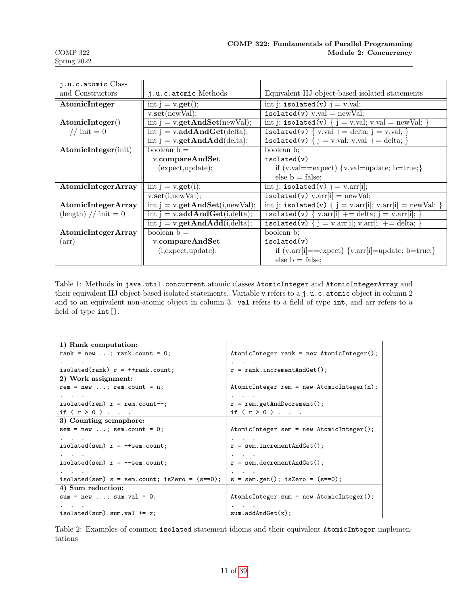| j.u.c.atomic Class            |                                             |                                                                          |  |
|-------------------------------|---------------------------------------------|--------------------------------------------------------------------------|--|
| and Constructors              | j.u.c.atomic Methods                        | Equivalent HJ object-based isolated statements                           |  |
| AtomicInteger                 | int $j = v.get$ ;                           | int j; isolated(v) $j = v.val$ ;                                         |  |
|                               | v.set(newVal);                              | $isolated(v) v.val = newVal;$                                            |  |
| AtomicInteger()               | int j = $v.getAndSet(newVal);$              | int j; isolated(v) { $j = v.val$ ; v.val = newVal; }                     |  |
| // init $= 0$                 | int j = $v.addAndGet(detta);$               | isolated(v) { v.val + = delta; j = v.val; }                              |  |
|                               | int j = $v.getAndAdd(detta);$               | isolated(v) { $j = v.val$ ; v.val += delta; }                            |  |
| AtomicInteger(int)            | $boolean b =$                               | boolean b;                                                               |  |
|                               | v.compareAndSet                             | isolated(v)                                                              |  |
|                               | (expect, update);                           | if (v.val==expect) {v.val=update; b=true;}                               |  |
|                               |                                             | $else b = false;$                                                        |  |
| AtomicIntegerArray            | int $j = v.get(i);$                         | int j; isolated(v) $j = v \cdot arr[i]$ ;                                |  |
|                               | v.set(i, newVal);                           | $isolated(v)$ v.arr[i] = newVal;                                         |  |
| AtomicIntegerArray            | int j = $v.getAndSet(i, newVal);$           | int j; isolated(v) { $j = v.\arr[i]; v.\arr[i] = newVal;$ }              |  |
| $(\text{length})$ // init = 0 | int $j = v$ .addAndGet $(i, delta)$ ;       | isolated(v) { $v.\arr[i]$ += delta; j = $v.\arr[i]$ ; }                  |  |
|                               | int j = $\overline{v.getAndAdd(i,delta)}$ ; | isolated(v) { $j = v.\arr[i]; v.\arr[i] += delta;$ }                     |  |
| AtomicIntegerArray            | boolean $b =$                               | boolean b;                                                               |  |
| $(\operatorname{arr})$        | v.compareAndSet                             | isolated(v)                                                              |  |
|                               | (i, expected, update);                      | if $(v \cdot arr[i] == expect) \{v \cdot arr[i] == update; b = true; \}$ |  |
|                               |                                             | $else b = false;$                                                        |  |

<span id="page-10-0"></span>Table 1: Methods in java.util.concurrent atomic classes AtomicInteger and AtomicIntegerArray and their equivalent HJ object-based isolated statements. Variable v refers to a j.u.c.atomic object in column 2 and to an equivalent non-atomic object in column 3. val refers to a field of type int, and arr refers to a field of type int[].

| 1) Rank computation:                                       |                                              |  |  |  |
|------------------------------------------------------------|----------------------------------------------|--|--|--|
| rank = $new ; rank.count = 0;$                             | AtomicInteger rank = new $AtomicInteger()$ ; |  |  |  |
|                                                            |                                              |  |  |  |
| $isolated(rank)$ $r = ++rank.count;$                       | $r = rank.incrementAndGet()$ ;               |  |  |  |
| 2) Work assignment:                                        |                                              |  |  |  |
| $rem = new ; rem.count = n;$                               | AtomicInteger rem = new $AtomicInteger(n)$ ; |  |  |  |
|                                                            |                                              |  |  |  |
| $isolated$ (rem) $r = rem.count--;$                        | $r = rem.getAndDecember();$                  |  |  |  |
| if $(r > 0)$ .                                             | if $(r > 0)$ .                               |  |  |  |
| 3) Counting semaphore:                                     |                                              |  |  |  |
| $sem = new ; sem.count = 0;$                               | AtomicInteger sem = new $AtomicInteger()$ ;  |  |  |  |
|                                                            |                                              |  |  |  |
| $isolated(sem)$ $r = ++sem.count;$                         | $r =$ sem.incrementAndGet();                 |  |  |  |
|                                                            |                                              |  |  |  |
| $isolated(sem)$ $r = -sem.count;$                          | $r =$ sem.decrementAndGet();                 |  |  |  |
|                                                            |                                              |  |  |  |
| $isolated(\text{sem})$ $s = sem.count; isZero = (s == 0);$ | $s = sem.get(); isZero = (s == 0);$          |  |  |  |
| 4) Sum reduction:                                          |                                              |  |  |  |
| $sum = new ; sum.val = 0;$                                 | AtomicInteger sum = new $AtomicInteger()$ ;  |  |  |  |
|                                                            |                                              |  |  |  |
| isolated(sum) sum.val $+= x;$                              | sum.addAndGet(x);                            |  |  |  |

<span id="page-10-1"></span>Table 2: Examples of common isolated statement idioms and their equivalent AtomicInteger implementations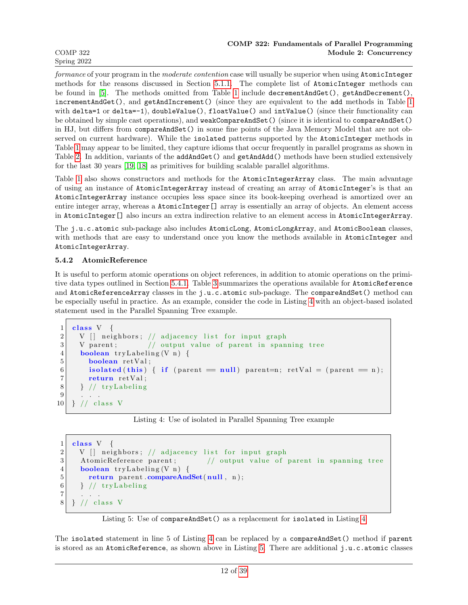formance of your program in the *moderate contention* case will usually be superior when using AtomicInteger methods for the reasons discussed in Section [5.1.1.](#page-2-0) The complete list of AtomicInteger methods can be found in [\[5\]](#page-36-0). The methods omitted from Table [1](#page-10-0) include decrementAndGet(), getAndDecrement(), incrementAndGet(), and getAndIncrement() (since they are equivalent to the add methods in Table [1](#page-10-0) with delta=1 or delta=-1), doubleValue(), floatValue() and intValue() (since their functionality can be obtained by simple cast operations), and weakCompareAndSet() (since it is identical to compareAndSet() in HJ, but differs from compareAndSet() in some fine points of the Java Memory Model that are not observed on current hardware). While the isolated patterns supported by the AtomicInteger methods in Table [1](#page-10-0) may appear to be limited, they capture idioms that occur frequently in parallel programs as shown in Table [2.](#page-10-1) In addition, variants of the **addAndGet()** and **getAndAdd()** methods have been studied extensively for the last 30 years [\[19,](#page-37-4) [18\]](#page-37-5) as primitives for building scalable parallel algorithms.

Table [1](#page-10-0) also shows constructors and methods for the AtomicIntegerArray class. The main advantage of using an instance of AtomicIntegerArray instead of creating an array of AtomicInteger's is that an AtomicIntegerArray instance occupies less space since its book-keeping overhead is amortized over an entire integer array, whereas a AtomicInteger[] array is essentially an array of objects. An element access in AtomicInteger[] also incurs an extra indirection relative to an element access in AtomicIntegerArray.

The j.u.c.atomic sub-package also includes AtomicLong, AtomicLongArray, and AtomicBoolean classes, with methods that are easy to understand once you know the methods available in AtomicInteger and AtomicIntegerArray.

# 5.4.2 AtomicReference

It is useful to perform atomic operations on object references, in addition to atomic operations on the primitive data types outlined in Section [5.4.1.](#page-9-1) Table [3](#page-12-1) summarizes the operations available for AtomicReference and AtomicReferenceArray classes in the j.u.c.atomic sub-package. The compareAndSet() method can be especially useful in practice. As an example, consider the code in Listing [4](#page-11-0) with an object-based isolated statement used in the Parallel Spanning Tree example.

```
\begin{array}{c|c} 1 & \textbf{class} & V & \{ \\ \hline 2 & V & || & \textbf{nei} \end{array}V [] neighbors; // adjacency list for input graph
 3 V parent; \frac{1}{2} output value of parent in spanning tree
 4 boolean tryLabeling (V n) {
 5 boolean retVal;
 6 isolated (this) { if (parent == null) parent=n; retVal = (parent = n);<br>return retVal;
          return retVal;
 8 } // tryLabeling
 9 \vert \quad . \quad . \quad .10 } // class V
```
Listing 4: Use of isolated in Parallel Spanning Tree example

```
1 class V {
2 V [] neighbors; // adjacency list for input graph
3 AtomicReference parent; // output value of parent in spanning tree
4 boolean tryLabeling (V n) {
5 return parent compareAndSet(null, n);
6 } // tryLabeling
7 . . .
8 } // class V
```
Listing 5: Use of compareAndSet() as a replacement for isolated in Listing [4](#page-11-0)

The isolated statement in line 5 of Listing [4](#page-11-0) can be replaced by a compareAndSet() method if parent is stored as an AtomicReference, as shown above in Listing [5.](#page-11-1) There are additional j.u.c.atomic classes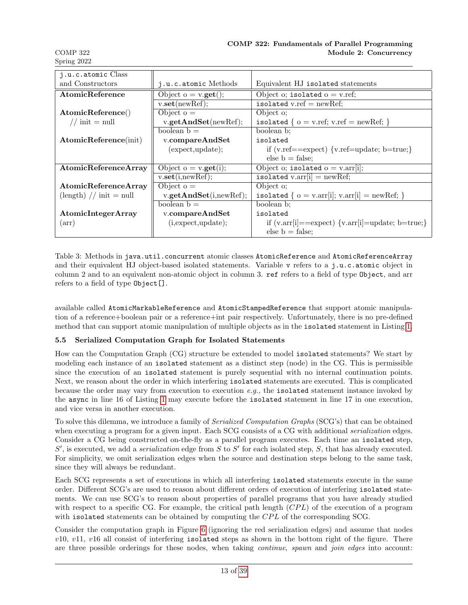| j.u.c.atomic Class                                          |                        |                                                                          |  |  |
|-------------------------------------------------------------|------------------------|--------------------------------------------------------------------------|--|--|
| and Constructors                                            | j.u.c.atomic Methods   | Equivalent HJ isolated statements                                        |  |  |
| AtomicReference                                             | Object $o = v.get()$ ; | Object o; isolated $o = v.ref$ ;                                         |  |  |
|                                                             | v.set(newRef);         | isolated v.ref $=$ newRef;                                               |  |  |
| AtomicReference()                                           | Object $o =$           | Object o:                                                                |  |  |
| // init = null                                              | v.getAndSet(newRef);   | isolated { $o = v.ref$ ; $v.ref = newRef$ ; }                            |  |  |
|                                                             | boolean $b =$          | boolean b:                                                               |  |  |
| AtomicReference(init)                                       | v.compareAndSet        | isolated                                                                 |  |  |
|                                                             | (expect, update);      | if (v.ref==expect) {v.ref=update; b=true;}                               |  |  |
|                                                             |                        | else $b = false$ ;                                                       |  |  |
| AtomicReferenceArray                                        | Object $o = v.get(i);$ | Object o; isolated $o = v \cdot arr[i]$ ;                                |  |  |
|                                                             | v.set(i, newRef);      | isolated v.arr $[i]$ = newRef;                                           |  |  |
| AtomicReferenceArray                                        | Object $o =$           | Object o;                                                                |  |  |
| $(\text{length})$ // init = null<br>v.getAndSet(i, newRef); |                        | isolated { $o = v \cdot arr[i]; v \cdot arr[i] = newRef;$ }              |  |  |
|                                                             | boolean $b =$          | boolean b:                                                               |  |  |
| AtomicIntegerArray                                          | v.compareAndSet        | isolated                                                                 |  |  |
| (i, expect, update);<br>$(\operatorname{arr})$              |                        | if $(v \cdot arr[i] == expect) \{v \cdot arr[i] == update; b = true; \}$ |  |  |
|                                                             |                        | $else b = false:$                                                        |  |  |

<span id="page-12-1"></span>Table 3: Methods in java.util.concurrent atomic classes AtomicReference and AtomicReferenceArray and their equivalent HJ object-based isolated statements. Variable v refers to a j.u.c.atomic object in column 2 and to an equivalent non-atomic object in column 3. ref refers to a field of type Object, and arr refers to a field of type Object[].

available called AtomicMarkableReference and AtomicStampedReference that support atomic manipulation of a reference+boolean pair or a reference+int pair respectively. Unfortunately, there is no pre-defined method that can support atomic manipulation of multiple objects as in the isolated statement in Listing [1.](#page-1-2)

# <span id="page-12-0"></span>5.5 Serialized Computation Graph for Isolated Statements

How can the Computation Graph (CG) structure be extended to model isolated statements? We start by modeling each instance of an isolated statement as a distinct step (node) in the CG. This is permissible since the execution of an isolated statement is purely sequential with no internal continuation points. Next, we reason about the order in which interfering isolated statements are executed. This is complicated because the order may vary from execution to execution e.g., the isolated statement instance invoked by the async in line 16 of Listing [1](#page-1-2) may execute before the isolated statement in line 17 in one execution, and vice versa in another execution.

To solve this dilemma, we introduce a family of Serialized Computation Graphs (SCG's) that can be obtained when executing a program for a given input. Each SCG consists of a CG with additional *serialization* edges. Consider a CG being constructed on-the-fly as a parallel program executes. Each time an isolated step,  $S'$ , is executed, we add a *serialization* edge from  $S$  to  $S'$  for each isolated step,  $S$ , that has already executed. For simplicity, we omit serialization edges when the source and destination steps belong to the same task, since they will always be redundant.

Each SCG represents a set of executions in which all interfering isolated statements execute in the same order. Different SCG's are used to reason about different orders of execution of interfering isolated statements. We can use SCG's to reason about properties of parallel programs that you have already studied with respect to a specific CG. For example, the critical path length  $(CPL)$  of the execution of a program with isolated statements can be obtained by computing the  $CPL$  of the corresponding SCG.

Consider the computation graph in Figure [6](#page-13-0) (ignoring the red serialization edges) and assume that nodes  $v10, v11, v16$  all consist of interfering isolated steps as shown in the bottom right of the figure. There are three possible orderings for these nodes, when taking *continue*, spawn and *join edges* into account: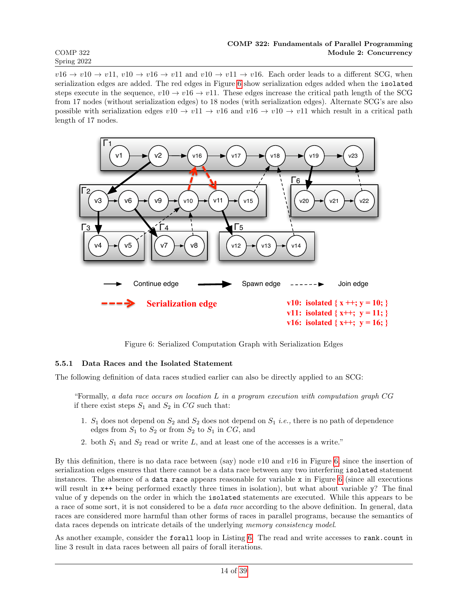$v16 \rightarrow v10 \rightarrow v11$ ,  $v10 \rightarrow v16 \rightarrow v11$  and  $v10 \rightarrow v11 \rightarrow v16$ . Each order leads to a different SCG, when serialization edges are added. The red edges in Figure [6](#page-13-0) show serialization edges added when the isolated steps execute in the sequence,  $v10 \rightarrow v16 \rightarrow v11$ . These edges increase the critical path length of the SCG from 17 nodes (without serialization edges) to 18 nodes (with serialization edges). Alternate SCG's are also possible with serialization edges  $v10 \rightarrow v11 \rightarrow v16$  and  $v16 \rightarrow v10 \rightarrow v11$  which result in a critical path length of 17 nodes.



<span id="page-13-0"></span>Figure 6: Serialized Computation Graph with Serialization Edges

# 5.5.1 Data Races and the Isolated Statement

The following definition of data races studied earlier can also be directly applied to an SCG:

"Formally, a data race occurs on location L in a program execution with computation graph CG if there exist steps  $S_1$  and  $S_2$  in  $CG$  such that:

- 1.  $S_1$  does not depend on  $S_2$  and  $S_2$  does not depend on  $S_1$  *i.e.*, there is no path of dependence edges from  $S_1$  to  $S_2$  or from  $S_2$  to  $S_1$  in  $CG$ , and
- 2. both  $S_1$  and  $S_2$  read or write L, and at least one of the accesses is a write."

By this definition, there is no data race between (say) node  $v10$  and  $v16$  in Figure [6,](#page-13-0) since the insertion of serialization edges ensures that there cannot be a data race between any two interfering isolated statement instances. The absence of a data race appears reasonable for variable x in Figure [6](#page-13-0) (since all executions will result in  $x++$  being performed exactly three times in isolation), but what about variable y? The final value of y depends on the order in which the isolated statements are executed. While this appears to be a race of some sort, it is not considered to be a data race according to the above definition. In general, data races are considered more harmful than other forms of races in parallel programs, because the semantics of data races depends on intricate details of the underlying memory consistency model.

As another example, consider the forall loop in Listing [6.](#page-14-2) The read and write accesses to rank.count in line 3 result in data races between all pairs of forall iterations.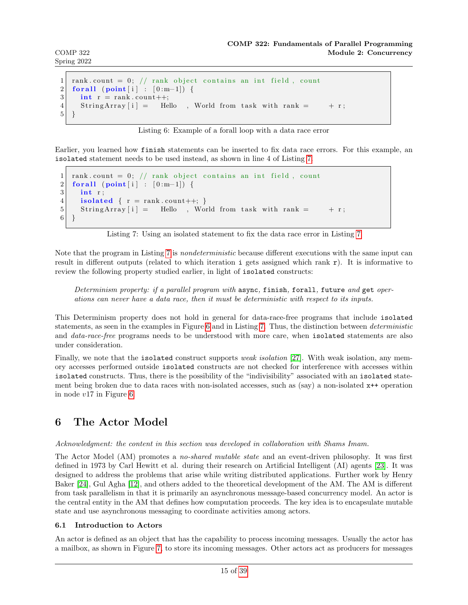```
1 \vert rank . count = 0; // rank object contains an int field, count
2 for all (point[i] : [0:m-1]) {
3 int r = rank . count++;
4 String Array [i] = Hello, World from task with rank = + r;
5 \vert \}
```
Listing 6: Example of a forall loop with a data race error

Earlier, you learned how finish statements can be inserted to fix data race errors. For this example, an isolated statement needs to be used instead, as shown in line 4 of Listing [7.](#page-14-3)

```
1 rank . count = 0; // rank object contains an int field, count
2 for all (point[i] : [0:m-1]) {
3 int r;
4 isolated \{ r = \text{rank}.\text{count++}; \}5 String Array [i] = Hello, World from task with rank = + r;
6 \mid \}
```
Listing 7: Using an isolated statement to fix the data race error in Listing [7](#page-14-3)

Note that the program in Listing [7](#page-14-3) is nondeterministic because different executions with the same input can result in different outputs (related to which iteration i gets assigned which rank  $r$ ). It is informative to review the following property studied earlier, in light of isolated constructs:

Determinism property: if a parallel program with async, finish, forall, future and get operations can never have a data race, then it must be deterministic with respect to its inputs.

This Determinism property does not hold in general for data-race-free programs that include isolated statements, as seen in the examples in Figure [6](#page-13-0) and in Listing [7.](#page-14-3) Thus, the distinction between *deterministic* and *data-race-free* programs needs to be understood with more care, when isolated statements are also under consideration.

Finally, we note that the **isolated** construct supports *weak isolation* [\[27\]](#page-38-2). With weak isolation, any memory accesses performed outside isolated constructs are not checked for interference with accesses within isolated constructs. Thus, there is the possibility of the "indivisibility" associated with an isolated statement being broken due to data races with non-isolated accesses, such as (say) a non-isolated  $x++$  operation in node  $v17$  in Figure [6.](#page-13-0)

# <span id="page-14-0"></span>6 The Actor Model

# Acknowledgment: the content in this section was developed in collaboration with Shams Imam.

The Actor Model (AM) promotes a no-shared mutable state and an event-driven philosophy. It was first defined in 1973 by Carl Hewitt et al. during their research on Artificial Intelligent (AI) agents [\[23\]](#page-37-6). It was designed to address the problems that arise while writing distributed applications. Further work by Henry Baker [\[24\]](#page-37-7), Gul Agha [\[12\]](#page-37-8), and others added to the theoretical development of the AM. The AM is different from task parallelism in that it is primarily an asynchronous message-based concurrency model. An actor is the central entity in the AM that defines how computation proceeds. The key idea is to encapsulate mutable state and use asynchronous messaging to coordinate activities among actors.

# <span id="page-14-1"></span>6.1 Introduction to Actors

An actor is defined as an object that has the capability to process incoming messages. Usually the actor has a mailbox, as shown in Figure [7,](#page-15-0) to store its incoming messages. Other actors act as producers for messages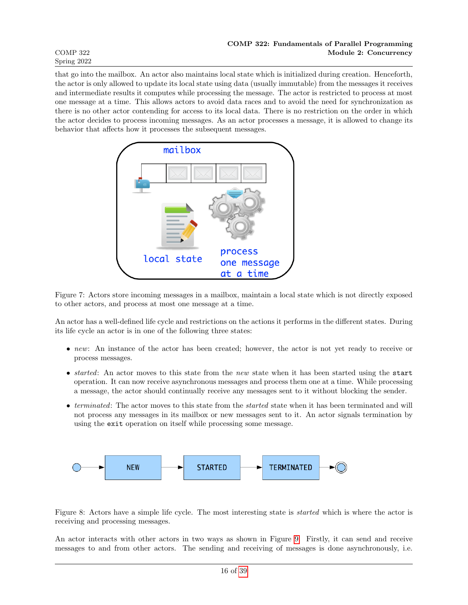that go into the mailbox. An actor also maintains local state which is initialized during creation. Henceforth, the actor is only allowed to update its local state using data (usually immutable) from the messages it receives and intermediate results it computes while processing the message. The actor is restricted to process at most one message at a time. This allows actors to avoid data races and to avoid the need for synchronization as there is no other actor contending for access to its local data. There is no restriction on the order in which the actor decides to process incoming messages. As an actor processes a message, it is allowed to change its behavior that affects how it processes the subsequent messages.



<span id="page-15-0"></span>Figure 7: Actors store incoming messages in a mailbox, maintain a local state which is not directly exposed to other actors, and process at most one message at a time.

An actor has a well-defined life cycle and restrictions on the actions it performs in the different states. During its life cycle an actor is in one of the following three states:

- new: An instance of the actor has been created; however, the actor is not yet ready to receive or process messages.
- *started*: An actor moves to this state from the *new* state when it has been started using the start operation. It can now receive asynchronous messages and process them one at a time. While processing a message, the actor should continually receive any messages sent to it without blocking the sender.
- terminated: The actor moves to this state from the *started* state when it has been terminated and will not process any messages in its mailbox or new messages sent to it. An actor signals termination by using the exit operation on itself while processing some message.



<span id="page-15-1"></span>Figure 8: Actors have a simple life cycle. The most interesting state is started which is where the actor is receiving and processing messages.

An actor interacts with other actors in two ways as shown in Figure [9.](#page-16-0) Firstly, it can send and receive messages to and from other actors. The sending and receiving of messages is done asynchronously, i.e.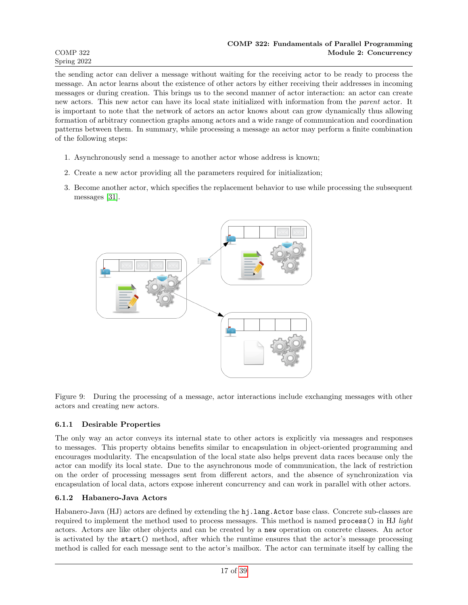the sending actor can deliver a message without waiting for the receiving actor to be ready to process the message. An actor learns about the existence of other actors by either receiving their addresses in incoming messages or during creation. This brings us to the second manner of actor interaction: an actor can create new actors. This new actor can have its local state initialized with information from the parent actor. It is important to note that the network of actors an actor knows about can grow dynamically thus allowing formation of arbitrary connection graphs among actors and a wide range of communication and coordination patterns between them. In summary, while processing a message an actor may perform a finite combination of the following steps:

- 1. Asynchronously send a message to another actor whose address is known;
- 2. Create a new actor providing all the parameters required for initialization;
- 3. Become another actor, which specifies the replacement behavior to use while processing the subsequent messages [\[31\]](#page-38-6).



<span id="page-16-0"></span>Figure 9: During the processing of a message, actor interactions include exchanging messages with other actors and creating new actors.

# 6.1.1 Desirable Properties

The only way an actor conveys its internal state to other actors is explicitly via messages and responses to messages. This property obtains benefits similar to encapsulation in object-oriented programming and encourages modularity. The encapsulation of the local state also helps prevent data races because only the actor can modify its local state. Due to the asynchronous mode of communication, the lack of restriction on the order of processing messages sent from different actors, and the absence of synchronization via encapsulation of local data, actors expose inherent concurrency and can work in parallel with other actors.

#### 6.1.2 Habanero-Java Actors

Habanero-Java (HJ) actors are defined by extending the hj.lang.Actor base class. Concrete sub-classes are required to implement the method used to process messages. This method is named process() in HJ light actors. Actors are like other objects and can be created by a new operation on concrete classes. An actor is activated by the start() method, after which the runtime ensures that the actor's message processing method is called for each message sent to the actor's mailbox. The actor can terminate itself by calling the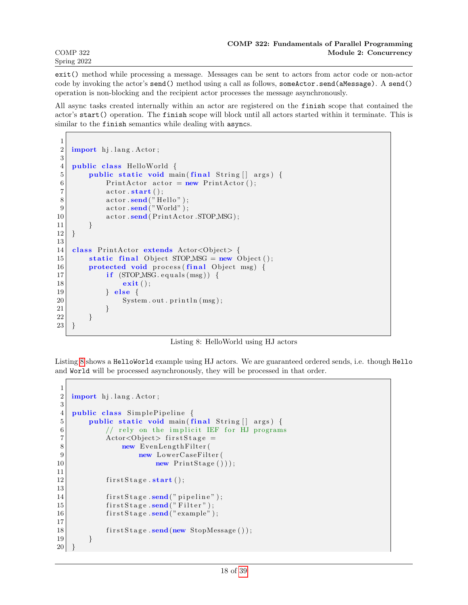exit() method while processing a message. Messages can be sent to actors from actor code or non-actor code by invoking the actor's send() method using a call as follows, someActor.send(aMessage). A send() operation is non-blocking and the recipient actor processes the message asynchronously.

All async tasks created internally within an actor are registered on the finish scope that contained the actor's start() operation. The finish scope will block until all actors started within it terminate. This is similar to the finish semantics while dealing with asyncs.

```
1
2 \mid import \text{ hj.lang.Actor};3
4 public class HelloWorld {
5 public static void main (final String [] args) {
\begin{array}{c|c|c|c|c} \hline 6 & \text{PrintAction } \text{actor} & = \text{new} & \text{PrintAction}(); \\\hline \end{array}7 actor.start();
8 actor.send ("Hello");
9 actor send ("World");
10 \vert actor . send ( PrintActor . STOP MSG);
11 }
|12|13
14 class PrintActor extends Actor<Object> {
15 static final Object STOP MSG = new Object ();
16 protected void process (final Object msg) {
17 if (TOPMSG.\ equals(msg)) {
18 exit ( );
19 } else {
20 System . out . println (msg);21 }
22 }
23 \, | \}
```
Listing 8: HelloWorld using HJ actors

Listing [8](#page-17-0) shows a HelloWorld example using HJ actors. We are guaranteed ordered sends, i.e. though Hello and World will be processed asynchronously, they will be processed in that order.

```
1
2 \mid import \text{ hj.lang.Actor};3
4 public class SimplePipeline {
5 public static void main (final String [] args) {
6 // rely on the implicit IEF for HJ programs
7 Actor<Object> firstStage =
8 new EvenLengthFilter (
9 new LowerCaseFilter (
\frac{10}{\text{10}} new PrintStage ());
11
12 first Stage . start ();
13
14 firstStage \cdot send(" pipeline");15 \left| \text{firstStage}.\text{send}("Filter"); \right|16 first Stage . send ("example");
17
18 first Stage.send (new StopMessage ());
19 }
20\,
```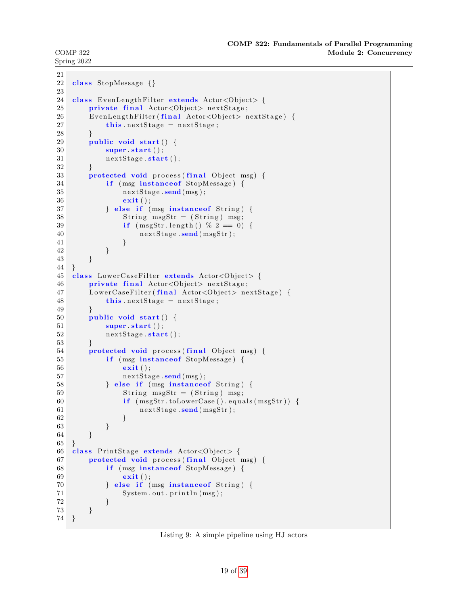```
21
22 class StopMessage {}
23
24 class EvenLengthFilter extends Actor<Object> {
25 private final Actor<Object> nextStage;
26 EvenLengthFilter (final Actor < Object > nextStage) {
27 this next Stage = next Stage;
28 }
29 public void start () {
30 super start ();
31 next Stage . start ();
32 }
33 protected void process (final Object msg) {
34 if (msg instance of StopMessage) {
35 next Stage . send (msg);
36 exit ( );
37 } else if (msg instance of String) {
38 String msgStr = (String) msg;
39 if (msgStr.length() \% 2 == 0)40 next Stage . send (msgStr);
41 }
42 }
43 }
44 }
45 class LowerCaseFilter extends Actor<Object> {
46 private final Actor<Object> nextStage;
47 LowerCaseFilter (final Actor<Object> nextStage) {
48 this next Stage = nextStage;
49 }
50 public void start () {
51 super start ();
52 next Stage . start ( );
53 }
54 protected void process (final Object msg) {
55 if (msg instance of StopMessage) {
56 exit ( );
57 next Stage . send (msg);
58 } else if (msg instance of String) {
59 String msgStr = (String) msg;
60 if (msgStr. to LowerCase). equals (msgStr) {
61 next Stage . send (msgStr);
62 }
63 }
64 }
65 }
66 class PrintStage extends Actor<Object> {
67 protected void process (final Object msg) {
68 if (msg instance of StopMessage) {
69 exit ( );
70 } else if (msg instance of String) {
71 System . out . println (msg);
72 }
73 }
74 }
```
Listing 9: A simple pipeline using HJ actors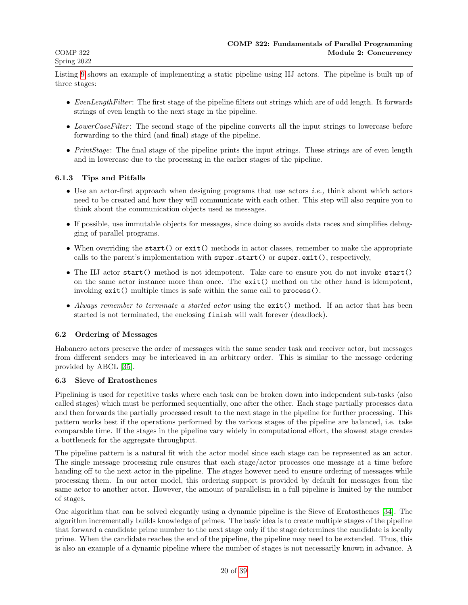Listing [9](#page-17-1) shows an example of implementing a static pipeline using HJ actors. The pipeline is built up of three stages:

- EvenLengthFilter: The first stage of the pipeline filters out strings which are of odd length. It forwards strings of even length to the next stage in the pipeline.
- LowerCaseFilter: The second stage of the pipeline converts all the input strings to lowercase before forwarding to the third (and final) stage of the pipeline.
- PrintStage: The final stage of the pipeline prints the input strings. These strings are of even length and in lowercase due to the processing in the earlier stages of the pipeline.

### 6.1.3 Tips and Pitfalls

- Use an actor-first approach when designing programs that use actors *i.e.*, think about which actors need to be created and how they will communicate with each other. This step will also require you to think about the communication objects used as messages.
- If possible, use immutable objects for messages, since doing so avoids data races and simplifies debugging of parallel programs.
- When overriding the start() or exit() methods in actor classes, remember to make the appropriate calls to the parent's implementation with super.start() or super.exit(), respectively,
- The HJ actor start() method is not idempotent. Take care to ensure you do not invoke start() on the same actor instance more than once. The exit() method on the other hand is idempotent, invoking exit() multiple times is safe within the same call to process().
- Always remember to terminate a started actor using the exit() method. If an actor that has been started is not terminated, the enclosing finish will wait forever (deadlock).

#### <span id="page-19-0"></span>6.2 Ordering of Messages

Habanero actors preserve the order of messages with the same sender task and receiver actor, but messages from different senders may be interleaved in an arbitrary order. This is similar to the message ordering provided by ABCL [\[35\]](#page-38-7).

#### <span id="page-19-1"></span>6.3 Sieve of Eratosthenes

Pipelining is used for repetitive tasks where each task can be broken down into independent sub-tasks (also called stages) which must be performed sequentially, one after the other. Each stage partially processes data and then forwards the partially processed result to the next stage in the pipeline for further processing. This pattern works best if the operations performed by the various stages of the pipeline are balanced, i.e. take comparable time. If the stages in the pipeline vary widely in computational effort, the slowest stage creates a bottleneck for the aggregate throughput.

The pipeline pattern is a natural fit with the actor model since each stage can be represented as an actor. The single message processing rule ensures that each stage/actor processes one message at a time before handing off to the next actor in the pipeline. The stages however need to ensure ordering of messages while processing them. In our actor model, this ordering support is provided by default for messages from the same actor to another actor. However, the amount of parallelism in a full pipeline is limited by the number of stages.

One algorithm that can be solved elegantly using a dynamic pipeline is the Sieve of Eratosthenes [\[34\]](#page-38-8). The algorithm incrementally builds knowledge of primes. The basic idea is to create multiple stages of the pipeline that forward a candidate prime number to the next stage only if the stage determines the candidate is locally prime. When the candidate reaches the end of the pipeline, the pipeline may need to be extended. Thus, this is also an example of a dynamic pipeline where the number of stages is not necessarily known in advance. A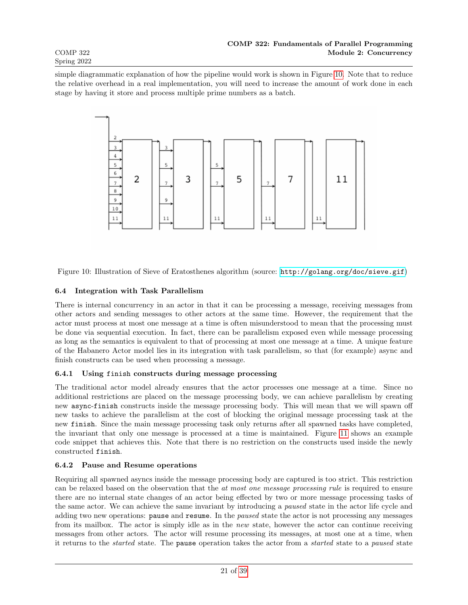simple diagrammatic explanation of how the pipeline would work is shown in Figure [10.](#page-20-1) Note that to reduce the relative overhead in a real implementation, you will need to increase the amount of work done in each stage by having it store and process multiple prime numbers as a batch.



<span id="page-20-1"></span>Figure 10: Illustration of Sieve of Eratosthenes algorithm (source: <http://golang.org/doc/sieve.gif>)

### <span id="page-20-0"></span>6.4 Integration with Task Parallelism

There is internal concurrency in an actor in that it can be processing a message, receiving messages from other actors and sending messages to other actors at the same time. However, the requirement that the actor must process at most one message at a time is often misunderstood to mean that the processing must be done via sequential execution. In fact, there can be parallelism exposed even while message processing as long as the semantics is equivalent to that of processing at most one message at a time. A unique feature of the Habanero Actor model lies in its integration with task parallelism, so that (for example) async and finish constructs can be used when processing a message.

#### 6.4.1 Using finish constructs during message processing

The traditional actor model already ensures that the actor processes one message at a time. Since no additional restrictions are placed on the message processing body, we can achieve parallelism by creating new async-finish constructs inside the message processing body. This will mean that we will spawn off new tasks to achieve the parallelism at the cost of blocking the original message processing task at the new finish. Since the main message processing task only returns after all spawned tasks have completed, the invariant that only one message is processed at a time is maintained. Figure [11](#page-21-0) shows an example code snippet that achieves this. Note that there is no restriction on the constructs used inside the newly constructed finish.

#### 6.4.2 Pause and Resume operations

Requiring all spawned asyncs inside the message processing body are captured is too strict. This restriction can be relaxed based on the observation that the at most one message processing rule is required to ensure there are no internal state changes of an actor being effected by two or more message processing tasks of the same actor. We can achieve the same invariant by introducing a paused state in the actor life cycle and adding two new operations: pause and resume. In the *paused* state the actor is not processing any messages from its mailbox. The actor is simply idle as in the new state, however the actor can continue receiving messages from other actors. The actor will resume processing its messages, at most one at a time, when it returns to the started state. The pause operation takes the actor from a started state to a paused state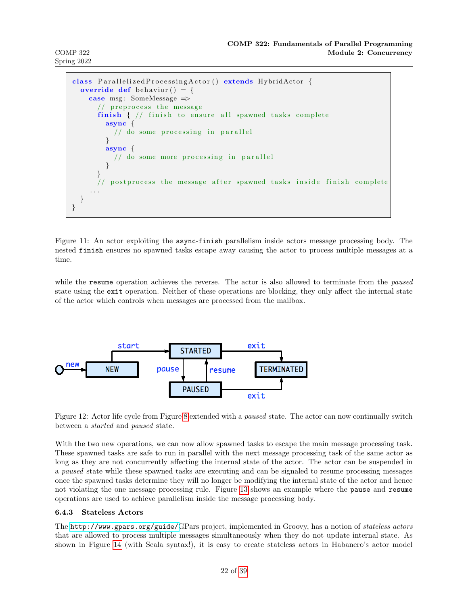```
class Parallelized Processing Actor () extends HybridActor {
  override def behavior () = \{case msg: SomeMessage \Rightarrow// preprocess the message
      finish \{ // finish to ensure all spawned tasks complete
        async {
           // do some processing in parallel
        }
        async {
           // do some more processing in parallel
        }
      }
      // postprocess the message after spawned tasks inside finish complete
    . . .
  }
}
```
<span id="page-21-0"></span>Figure 11: An actor exploiting the async-finish parallelism inside actors message processing body. The nested finish ensures no spawned tasks escape away causing the actor to process multiple messages at a time.

while the resume operation achieves the reverse. The actor is also allowed to terminate from the *paused* state using the exit operation. Neither of these operations are blocking, they only affect the internal state of the actor which controls when messages are processed from the mailbox.



Figure 12: Actor life cycle from Figure [8](#page-15-1) extended with a paused state. The actor can now continually switch between a started and paused state.

With the two new operations, we can now allow spawned tasks to escape the main message processing task. These spawned tasks are safe to run in parallel with the next message processing task of the same actor as long as they are not concurrently affecting the internal state of the actor. The actor can be suspended in a paused state while these spawned tasks are executing and can be signaled to resume processing messages once the spawned tasks determine they will no longer be modifying the internal state of the actor and hence not violating the one message processing rule. Figure [13](#page-22-0) shows an example where the pause and resume operations are used to achieve parallelism inside the message processing body.

#### 6.4.3 Stateless Actors

The <http://www.gpars.org/guide/>GPars project, implemented in Groovy, has a notion of stateless actors that are allowed to process multiple messages simultaneously when they do not update internal state. As shown in Figure [14](#page-22-1) (with Scala syntax!), it is easy to create stateless actors in Habanero's actor model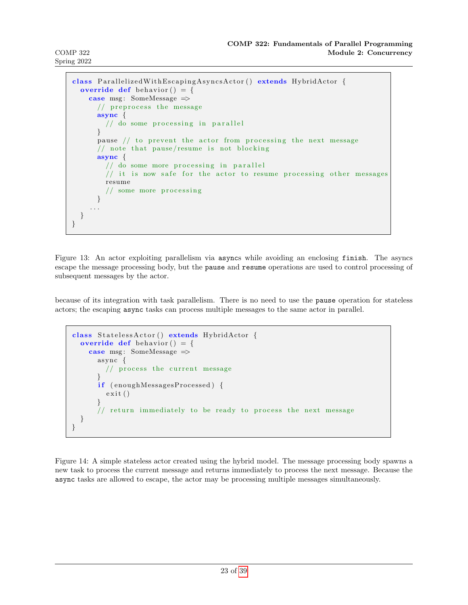```
class ParallelizedWithEscapingAsyncsActor () extends HybridActor {
  override def behavior () = \{case msg: SomeMessage \Rightarrow// preprocess the message
      async {
        // do some processing in parallel
      }
      pause // to prevent the actor from processing the next message
      // note that pause/resume is not blocking
      async {
        // do some more processing in parallel
        // it is now safe for the actor to resume processing other messages
        resume
        // some more processing
      }
    . . .
  }
}
```
<span id="page-22-0"></span>Figure 13: An actor exploiting parallelism via asyncs while avoiding an enclosing finish. The asyncs escape the message processing body, but the pause and resume operations are used to control processing of subsequent messages by the actor.

because of its integration with task parallelism. There is no need to use the pause operation for stateless actors; the escaping async tasks can process multiple messages to the same actor in parallel.

```
class StatelessActor () extends HybridActor {
  override def behavior() = {
    case msg: SomeMessage \Rightarrowasync {
        // process the current message
      }
      if (enoughMessagesProcessed) {
        ext{ext()}}
      // return immediately to be ready to process the next message
  }
}
```
<span id="page-22-1"></span>Figure 14: A simple stateless actor created using the hybrid model. The message processing body spawns a new task to process the current message and returns immediately to process the next message. Because the async tasks are allowed to escape, the actor may be processing multiple messages simultaneously.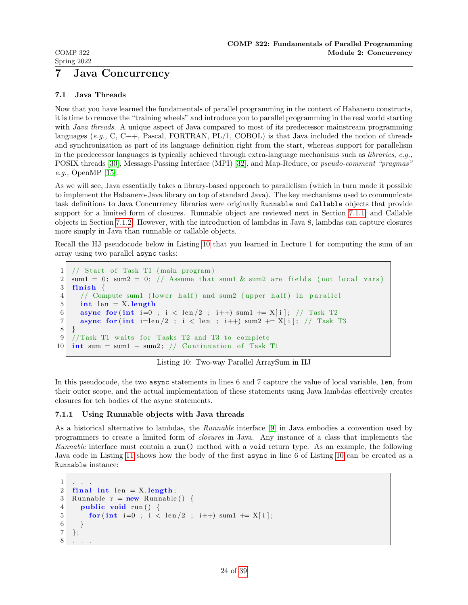# <span id="page-23-0"></span>7 Java Concurrency

# <span id="page-23-1"></span>7.1 Java Threads

Now that you have learned the fundamentals of parallel programming in the context of Habanero constructs, it is time to remove the "training wheels" and introduce you to parallel programming in the real world starting with *Java threads*. A unique aspect of Java compared to most of its predecessor mainstream programming languages (e.g., C, C++, Pascal, FORTRAN, PL/1, COBOL) is that Java included the notion of threads and synchronization as part of its language definition right from the start, whereas support for parallelism in the predecessor languages is typically achieved through extra-language mechanisms such as libraries, e.g., POSIX threads [\[30\]](#page-38-9), Message-Passing Interface (MPI) [\[32\]](#page-38-10), and Map-Reduce, or pseudo-comment "pragmas" e.g., OpenMP [\[15\]](#page-37-9).

As we will see, Java essentially takes a library-based approach to parallelism (which in turn made it possible to implement the Habanero-Java library on top of standard Java). The key mechanisms used to communicate task definitions to Java Concurrency libraries were originally Runnable and Callable objects that provide support for a limited form of closures. Runnable object are reviewed next in Section [7.1.1,](#page-23-2) and Callable objects in Section [7.1.2.](#page-25-0) However, with the introduction of lambdas in Java 8, lambdas can capture closures more simply in Java than runnable or callable objects.

Recall the HJ pseudocode below in Listing [10](#page-23-3) that you learned in Lecture 1 for computing the sum of an array using two parallel async tasks:

<span id="page-23-3"></span> $1 / /$  Start of Task T1 (main program)  $2 \mid \text{sum1} = 0$ ; sum  $2 = 0$ ; // Assume that sum  $\&$  sum  $2$  are fields (not local vars)  $3$  finish {  $4$  // Compute sum1 (lower half) and sum2 (upper half) in parallel  $5$  int len = X. length 6 async for (int i=0; i < len/2; i++) sum 1 +=  $X[i]$ ; // Task T2 7 async for (int i=len/2; i < len; i++) sum2 +=  $X[i]$ ; // Task T3 8 }  $9$  //Task T1 waits for Tasks T2 and T3 to complete 10 int sum = sum1 + sum2; // Continuation of Task T1

Listing 10: Two-way Parallel ArraySum in HJ

In this pseudocode, the two async statements in lines 6 and 7 capture the value of local variable, len, from their outer scope, and the actual implementation of these statements using Java lambdas effectively creates closures for teh bodies of the async statements.

# <span id="page-23-2"></span>7.1.1 Using Runnable objects with Java threads

As a historical alternative to lambdas, the Runnable interface [\[9\]](#page-37-10) in Java embodies a convention used by programmers to create a limited form of closures in Java. Any instance of a class that implements the Runnable interface must contain a run() method with a void return type. As an example, the following Java code in Listing [11](#page-23-4) shows how the body of the first async in line 6 of Listing [10](#page-23-3) can be created as a Runnable instance:

```
1 \vert \quad . \quad . \quad .2 final int len = X. length;
3 Runnable r = new Runnable () {
4 public void run() {
5 for (int i=0 ; i < len/2 ; i++) sum1 += X[i];
{\bf 6}7 \vert \};
8 \vert \quad . \quad . \quad .
```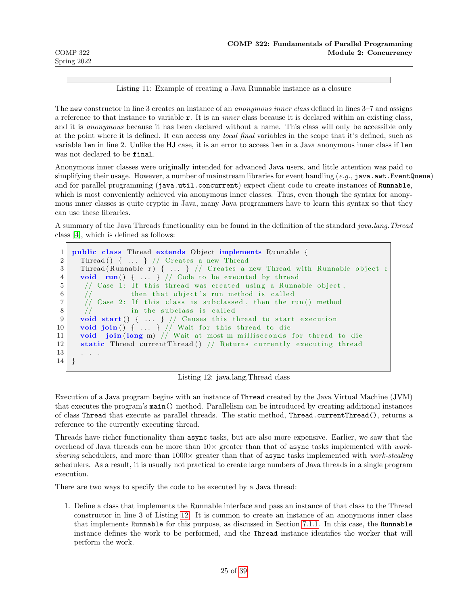Listing 11: Example of creating a Java Runnable instance as a closure

The new constructor in line 3 creates an instance of an anonymous inner class defined in lines 3–7 and assigns a reference to that instance to variable r. It is an inner class because it is declared within an existing class, and it is anonymous because it has been declared without a name. This class will only be accessible only at the point where it is defined. It can access any local final variables in the scope that it's defined, such as variable len in line 2. Unlike the HJ case, it is an error to access len in a Java anonymous inner class if len was not declared to be final.

Anonymous inner classes were originally intended for advanced Java users, and little attention was paid to simplifying their usage. However, a number of mainstream libraries for event handling  $(e.g., java.awt.EventQueue)$ and for parallel programming (java.util.concurrent) expect client code to create instances of Runnable, which is most conveniently achieved via anonymous inner classes. Thus, even though the syntax for anonymous inner classes is quite cryptic in Java, many Java programmers have to learn this syntax so that they can use these libraries.

A summary of the Java Threads functionality can be found in the definition of the standard java.lang.Thread class [\[4\]](#page-36-1), which is defined as follows:

<span id="page-24-0"></span>

Listing 12: java.lang.Thread class

Execution of a Java program begins with an instance of Thread created by the Java Virtual Machine (JVM) that executes the program's main() method. Parallelism can be introduced by creating additional instances of class Thread that execute as parallel threads. The static method, Thread.currentThread(), returns a reference to the currently executing thread.

Threads have richer functionality than async tasks, but are also more expensive. Earlier, we saw that the overhead of Java threads can be more than  $10\times$  greater than that of asynctasks implemented with worksharing schedulers, and more than  $1000 \times$  greater than that of asynctasks implemented with work-stealing schedulers. As a result, it is usually not practical to create large numbers of Java threads in a single program execution.

There are two ways to specify the code to be executed by a Java thread:

1. Define a class that implements the Runnable interface and pass an instance of that class to the Thread constructor in line 3 of Listing [12.](#page-24-0) It is common to create an instance of an anonymous inner class that implements Runnable for this purpose, as discussed in Section [7.1.1.](#page-23-2) In this case, the Runnable instance defines the work to be performed, and the Thread instance identifies the worker that will perform the work.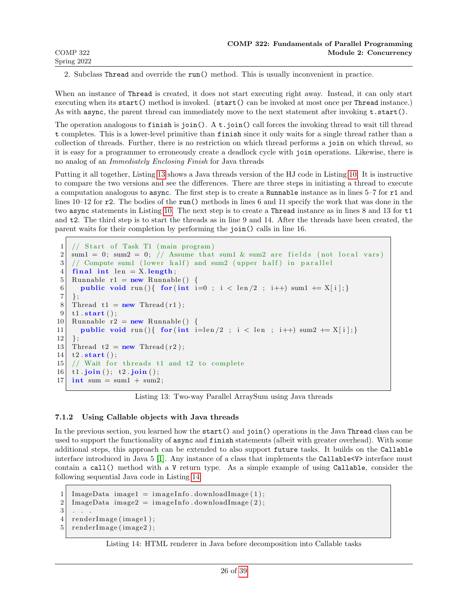2. Subclass Thread and override the run() method. This is usually inconvenient in practice.

When an instance of Thread is created, it does not start executing right away. Instead, it can only start executing when its start() method is invoked. (start() can be invoked at most once per Thread instance.) As with async, the parent thread can immediately move to the next statement after invoking  $t.start()$ .

The operation analogous to finish is join(). A t.join() call forces the invoking thread to wait till thread t completes. This is a lower-level primitive than finish since it only waits for a single thread rather than a collection of threads. Further, there is no restriction on which thread performs a join on which thread, so it is easy for a programmer to erroneously create a deadlock cycle with join operations. Likewise, there is no analog of an Immediately Enclosing Finish for Java threads

Putting it all together, Listing [13](#page-25-1) shows a Java threads version of the HJ code in Listing [10.](#page-23-3) It is instructive to compare the two versions and see the differences. There are three steps in initiating a thread to execute a computation analogous to async. The first step is to create a Runnable instance as in lines 5–7 for r1 and lines 10–12 for r2. The bodies of the run() methods in lines 6 and 11 specify the work that was done in the two async statements in Listing [10.](#page-23-3) The next step is to create a Thread instance as in lines 8 and 13 for t1 and t2. The third step is to start the threads as in line 9 and 14. After the threads have been created, the parent waits for their completion by performing the join() calls in line 16.

```
1 / / Start of Task T1 (main program)
2 \vert sum1 = 0; sum2 = 0; // Assume that sum1 & sum2 are fields (not local vars)
3/ // Compute sum1 (lower half) and sum2 (upper half) in parallel
4 final int len = X. length;
5 Runnable r1 = new Runnable () {
6 public void run () { for (int i=0 ; i < len /2 ; i++) sum1 += X[i] ; }
7 \, | \};
8 Thread t1 = new Thread (r1);
9 \mid t1 . start();
10 Runnable r2 = new Runnable () {
11 public void run () { for (int i=len /2 ; i < len ; i++) sum 2 + \mathbb{E}[\mathbf{i}];12 } ;
13 Thread t2 = new Thread(r2);14 t2 \text{start}();
15 // Wait for threads t1 and t2 to complete
16 \mid t1. join (); t2. join ();
17 int sum = sum1 + sum2;
```
Listing 13: Two-way Parallel ArraySum using Java threads

# <span id="page-25-0"></span>7.1.2 Using Callable objects with Java threads

In the previous section, you learned how the start() and join() operations in the Java Thread class can be used to support the functionality of async and finish statements (albeit with greater overhead). With some additional steps, this approach can be extended to also support future tasks. It builds on the Callable interface introduced in Java 5 [\[1\]](#page-36-2). Any instance of a class that implements the Callable<V> interface must contain a call() method with a V return type. As a simple example of using Callable, consider the following sequential Java code in Listing [14:](#page-25-2)

```
1 ImageData image1 = imageInfo.downloadImage(1);
2 ImageData image2 = imageInfo.downloadImage(2);
3 . . .
4 \mid \text{renderImage}(\text{image1});5 render Image (image 2);
```
Listing 14: HTML renderer in Java before decomposition into Callable tasks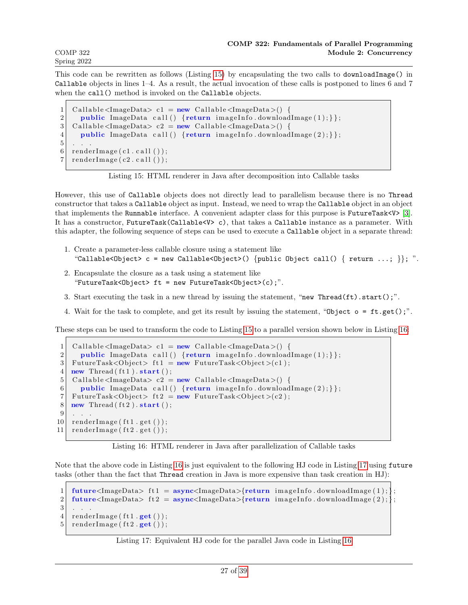This code can be rewritten as follows (Listing [15\)](#page-26-0) by encapsulating the two calls to downloadImage() in Callable objects in lines 1–4. As a result, the actual invocation of these calls is postponed to lines 6 and 7 when the call() method is invoked on the Callable objects.

```
1 Callable <ImageData> c1 = new Callable <ImageData > () {
2 public ImageData call () \{return \ imageInfo.downloading(mage(1); \};
3 Callable <ImageData> c2 = new Callable <ImageData > () {
4 public ImageData call () {return imageInfo.downloadImage(2); } };
5\phantom{.0}6 | \text{renderImage}(\text{c1. call}());7 \text{ } render Image (c2. call ());
```


However, this use of Callable objects does not directly lead to parallelism because there is no Thread constructor that takes a Callable object as input. Instead, we need to wrap the Callable object in an object that implements the Runnable interface. A convenient adapter class for this purpose is FutureTask<V> [\[3\]](#page-36-3). It has a constructor, FutureTask(Callable<V> c), that takes a Callable instance as a parameter. With this adapter, the following sequence of steps can be used to execute a Callable object in a separate thread:

- 1. Create a parameter-less callable closure using a statement like "Callable<Object> c = new Callable<Object>() {public Object call() { return ...; }}; ".
- 2. Encapsulate the closure as a task using a statement like "FutureTask<Object> ft = new FutureTask<Object>(c);".
- 3. Start executing the task in a new thread by issuing the statement, "new Thread(ft).start();".
- 4. Wait for the task to complete, and get its result by issuing the statement, "Object  $o = ft.get()$ ;".

These steps can be used to transform the code to Listing [15](#page-26-0) to a parallel version shown below in Listing [16:](#page-26-1)

```
1 Callable \langle \text{ImageData} \rangle c1 = new Callable \langle \text{ImageData} \rangle {
2 public ImageData call () \{return \ imageInfo. downloadImage(1); \};
3 FutureTask<Object> ft1 = new FutureTask<Object>(c1);
4 new Thread (f t 1). start ();
5 Callable <ImageData> c2 = new Callable <ImageData > () {
6 public ImageData call () {return imageInfo.downloadImage(2);}};
7 FutureTask<Object> ft2 = new FutureTask<Object>(c2);
8 new Thread (f t 2). start ();
910 render Image (ft1.get());
11 render Image (f t 2 . get ());
```
Listing 16: HTML renderer in Java after parallelization of Callable tasks

Note that the above code in Listing [16](#page-26-1) is just equivalent to the following HJ code in Listing [17](#page-26-2) using future tasks (other than the fact that Thread creation in Java is more expensive than task creation in HJ):

```
1 future<ImageData> ft1 = \text{async}\langle\text{ImageData}\ranglefreturn imageInfo.downloadImage(1);2 future<ImageData> ft 2 = \text{async}\text{ImageData}\text{Beta}\ freturn imageInfo.downloadImage (2); \};
3\phantom{.0}4 render Image (ft1.get());
5 render Image (ft2.get());
```
Listing 17: Equivalent HJ code for the parallel Java code in Listing [16](#page-26-1)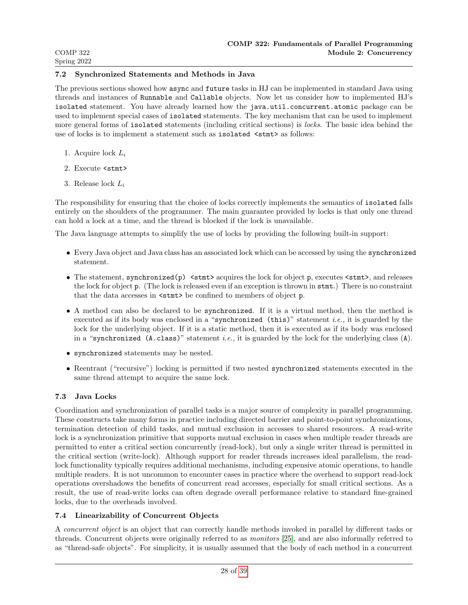#### <span id="page-27-0"></span>7.2 Synchronized Statements and Methods in Java

The previous sections showed how async and future tasks in HJ can be implemented in standard Java using threads and instances of Runnable and Callable objects. Now let us consider how to implemented HJ's isolated statement. You have already learned how the java.util.concurrent.atomic package can be used to implement special cases of isolated statements. The key mechanism that can be used to implement more general forms of isolated statements (including critical sections) is *locks*. The basic idea behind the use of locks is to implement a statement such as isolated  $\leq$ tmt> as follows:

- 1. Acquire lock  $L_i$
- 2. Execute <stmt>
- 3. Release lock  $L_i$

The responsibility for ensuring that the choice of locks correctly implements the semantics of isolated falls entirely on the shoulders of the programmer. The main guarantee provided by locks is that only one thread can hold a lock at a time, and the thread is blocked if the lock is unavailable.

The Java language attempts to simplify the use of locks by providing the following built-in support:

- Every Java object and Java class has an associated lock which can be accessed by using the synchronized statement.
- The statement, synchronized(p)  $\text{~stnt>~acquires~the lock for object~p, executes~~, and releases}$ the lock for object p. (The lock is released even if an exception is thrown in stmt.) There is no constraint that the data accesses in  $\text{stmt}$  be confined to members of object p.
- A method can also be declared to be synchronized. If it is a virtual method, then the method is executed as if its body was enclosed in a "synchronized (this)" statement i.e., it is guarded by the lock for the underlying object. If it is a static method, then it is executed as if its body was enclosed in a "synchronized (A.class)" statement *i.e.*, it is guarded by the lock for the underlying class (A).
- synchronized statements may be nested.
- Reentrant ("recursive") locking is permitted if two nested synchronized statements executed in the same thread attempt to acquire the same lock.

# <span id="page-27-1"></span>7.3 Java Locks

Coordination and synchronization of parallel tasks is a major source of complexity in parallel programming. These constructs take many forms in practice including directed barrier and point-to-point synchronizations, termination detection of child tasks, and mutual exclusion in accesses to shared resources. A read-write lock is a synchronization primitive that supports mutual exclusion in cases when multiple reader threads are permitted to enter a critical section concurrently (read-lock), but only a single writer thread is permitted in the critical section (write-lock). Although support for reader threads increases ideal parallelism, the readlock functionality typically requires additional mechanisms, including expensive atomic operations, to handle multiple readers. It is not uncommon to encounter cases in practice where the overhead to support read-lock operations overshadows the benefits of concurrent read accesses, especially for small critical sections. As a result, the use of read-write locks can often degrade overall performance relative to standard fine-grained locks, due to the overheads involved.

# <span id="page-27-2"></span>7.4 Linearizability of Concurrent Objects

A concurrent object is an object that can correctly handle methods invoked in parallel by different tasks or threads. Concurrent objects were originally referred to as monitors [\[25\]](#page-37-11), and are also informally referred to as "thread-safe objects". For simplicity, it is usually assumed that the body of each method in a concurrent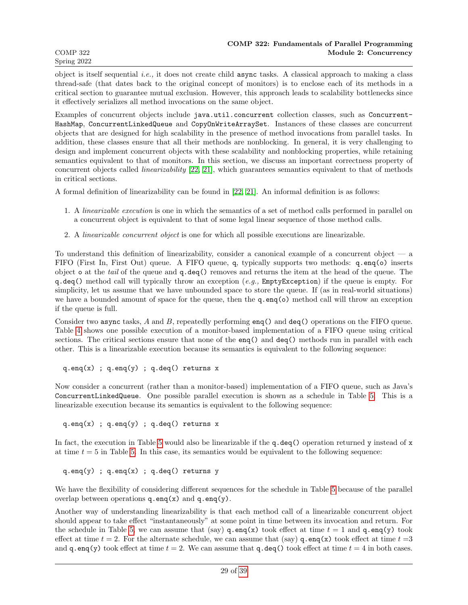object is itself sequential *i.e.*, it does not create child **async** tasks. A classical approach to making a class thread-safe (that dates back to the original concept of monitors) is to enclose each of its methods in a critical section to guarantee mutual exclusion. However, this approach leads to scalability bottlenecks since it effectively serializes all method invocations on the same object.

Examples of concurrent objects include java.util.concurrent collection classes, such as Concurrent-HashMap, ConcurrentLinkedQueue and CopyOnWriteArraySet. Instances of these classes are concurrent objects that are designed for high scalability in the presence of method invocations from parallel tasks. In addition, these classes ensure that all their methods are nonblocking. In general, it is very challenging to design and implement concurrent objects with these scalability and nonblocking properties, while retaining semantics equivalent to that of monitors. In this section, we discuss an important correctness property of concurrent objects called linearizability [\[22,](#page-37-12) [21\]](#page-37-13), which guarantees semantics equivalent to that of methods in critical sections.

A formal definition of linearizability can be found in [\[22,](#page-37-12) [21\]](#page-37-13). An informal definition is as follows:

- 1. A linearizable execution is one in which the semantics of a set of method calls performed in parallel on a concurrent object is equivalent to that of some legal linear sequence of those method calls.
- 2. A linearizable concurrent object is one for which all possible executions are linearizable.

To understand this definition of linearizability, consider a canonical example of a concurrent object — a FIFO (First In, First Out) queue. A FIFO queue, q, typically supports two methods: q.enq(o) inserts object o at the tail of the queue and  $q \cdot \text{deg}(\xi)$  removes and returns the item at the head of the queue. The q.deq() method call will typically throw an exception  $(e.g., EmptyException)$  if the queue is empty. For simplicity, let us assume that we have unbounded space to store the queue. If (as in real-world situations) we have a bounded amount of space for the queue, then the  $q$ . eng(o) method call will throw an exception if the queue is full.

Consider two async tasks, A and B, repeatedly performing enq() and deq() operations on the FIFO queue. Table [4](#page-29-0) shows one possible execution of a monitor-based implementation of a FIFO queue using critical sections. The critical sections ensure that none of the eng() and deq() methods run in parallel with each other. This is a linearizable execution because its semantics is equivalent to the following sequence:

 $q .eq(x)$ ;  $q .eq(y)$ ;  $q .deq()$  returns x

Now consider a concurrent (rather than a monitor-based) implementation of a FIFO queue, such as Java's ConcurrentLinkedQueue. One possible parallel execution is shown as a schedule in Table [5.](#page-29-1) This is a linearizable execution because its semantics is equivalent to the following sequence:

q.enq(x) ; q.enq(y) ; q.deq() returns x

In fact, the execution in Table [5](#page-29-1) would also be linearizable if the q.deq() operation returned y instead of x at time  $t = 5$  in Table [5.](#page-29-1) In this case, its semantics would be equivalent to the following sequence:

 $q .eq(y)$ ;  $q .eq(x)$ ;  $q .deq()$  returns y

We have the flexibility of considering different sequences for the schedule in Table [5](#page-29-1) because of the parallel overlap between operations  $q$ .enq $(x)$  and  $q$ .enq $(y)$ .

Another way of understanding linearizability is that each method call of a linearizable concurrent object should appear to take effect "instantaneously" at some point in time between its invocation and return. For the schedule in Table [5,](#page-29-1) we can assume that (say) q.eng(x) took effect at time  $t = 1$  and q.eng(y) took effect at time  $t = 2$ . For the alternate schedule, we can assume that (say) q.eng(x) took effect at time  $t = 3$ and q.eng(y) took effect at time  $t = 2$ . We can assume that q.deq() took effect at time  $t = 4$  in both cases.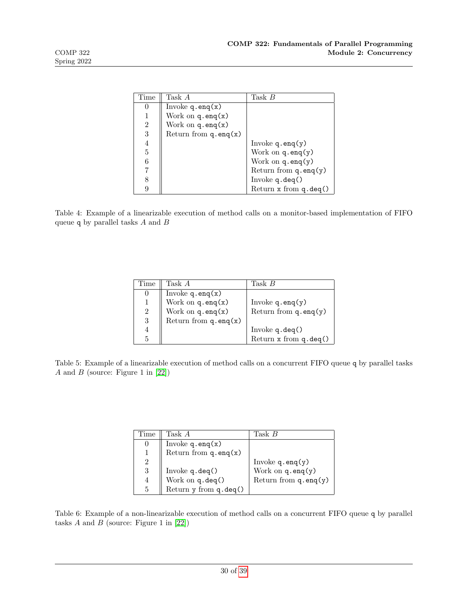| Time           | Task A                   | Task B                      |
|----------------|--------------------------|-----------------------------|
| 0              | Invoke $q$ . eng $(x)$   |                             |
| 1              | Work on $q$ . eng $(x)$  |                             |
| $\overline{2}$ | Work on $q$ . eng $(x)$  |                             |
| 3              | Return from $q$ . eng(x) |                             |
| 4              |                          | Invoke $q$ . eng $(y)$      |
| 5              |                          | Work on $q$ . eng $(y)$     |
| 6              |                          | Work on $q$ . eng $(y)$     |
| 7              |                          | Return from $q$ . eng $(y)$ |
| 8              |                          | Invoke $q$ . deq $()$       |
| 9              |                          | Return $x$ from $q$ . deq() |

<span id="page-29-0"></span>Table 4: Example of a linearizable execution of method calls on a monitor-based implementation of FIFO queue q by parallel tasks  $A$  and  $B$ 

| Time           | Task A                                                | Task $B$                    |
|----------------|-------------------------------------------------------|-----------------------------|
| O              |                                                       |                             |
|                | Invoke $q.\text{enq}(x)$<br>Work on $q.\text{enq}(x)$ | Invoke $q$ . eng $(y)$      |
| $\overline{2}$ | Work on $\mathtt{q}.\mathtt{enq(x)}$                  | Return from $q$ . eng $(y)$ |
| 3              | Return from $\tt q .\it eng(x)$                       |                             |
| 4              |                                                       | Invoke $q$ . deq $()$       |
| 5              |                                                       | Return $x$ from $q$ . deq() |

<span id="page-29-1"></span>Table 5: Example of a linearizable execution of method calls on a concurrent FIFO queue q by parallel tasks A and B (source: Figure 1 in  $[22]$ )

| Time           | Task A                      | Task $B$                    |
|----------------|-----------------------------|-----------------------------|
| $\theta$       | Invoke $q$ . en $q(x)$      |                             |
|                | Return from $q$ . en $q(x)$ |                             |
| $\overline{2}$ |                             | Invoke $q$ . eng $(y)$      |
| 3              | Invoke $q.deq()$            | Work on $q$ . eng $(y)$     |
| 4              | Work on q.deq()             | Return from $q$ . eng $(y)$ |
| 5              | Return $y$ from $q$ . deq() |                             |

<span id="page-29-2"></span>Table 6: Example of a non-linearizable execution of method calls on a concurrent FIFO queue q by parallel tasks  $A$  and  $B$  (source: Figure 1 in [\[22\]](#page-37-12))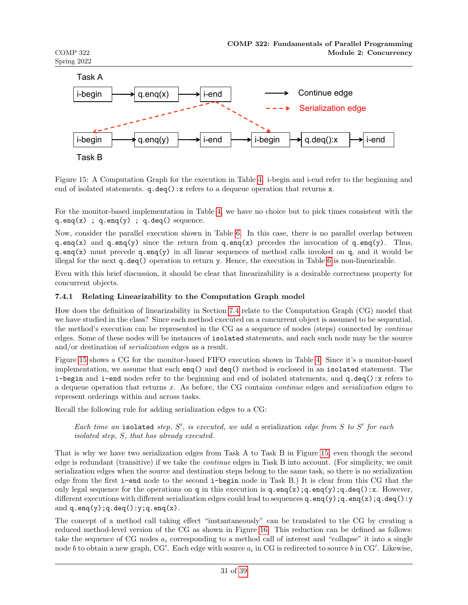

<span id="page-30-0"></span>Figure 15: A Computation Graph for the execution in Table [4.](#page-29-0) i-begin and i-end refer to the beginning and end of isolated statements.  $q \cdot \text{deg}() : x$  refers to a dequeue operation that returns x.

For the monitor-based implementation in Table [4,](#page-29-0) we have no choice but to pick times consistent with the  $q . eq(x)$ ;  $q . eq(q)$ ;  $q . deg()$  sequence.

Now, consider the parallel execution shown in Table [6.](#page-29-2) In this case, there is no parallel overlap between q.enq(x) and q.enq(y) since the return from q.enq(x) precedes the invocation of q.enq(y). Thus, q.enq(x) must precede q.enq(y) in all linear sequences of method calls invoked on q, and it would be illegal for the next q.deq() operation to return y. Hence, the execution in Table [6](#page-29-2) is non-linearizable.

Even with this brief discussion, it should be clear that linearizability is a desirable correctness property for concurrent objects.

### 7.4.1 Relating Linearizability to the Computation Graph model

How does the definition of linearizability in Section [7.4](#page-27-2) relate to the Computation Graph (CG) model that we have studied in the class? Since each method executed on a concurrent object is assumed to be sequential, the method's execution can be represented in the CG as a sequence of nodes (steps) connected by continue edges. Some of these nodes will be instances of isolated statements, and each such node may be the source and/or destination of serialization edges as a result.

Figure [15](#page-30-0) shows a CG for the monitor-based FIFO execution shown in Table [4.](#page-29-0) Since it's a monitor-based implementation, we assume that each enq() and deq() method is enclosed in an isolated statement. The i-begin and i-end nodes refer to the beginning and end of isolated statements, and q.deq():x refers to a dequeue operation that returns x. As before, the CG contains continue edges and serialization edges to represent orderings within and across tasks.

Recall the following rule for adding serialization edges to a CG:

Each time an isolated step,  $S'$ , is executed, we add a serialization edge from  $S$  to  $S'$  for each isolated step, S, that has already executed.

That is why we have two serialization edges from Task A to Task B in Figure [15,](#page-30-0) even though the second edge is redundant (transitive) if we take the continue edges in Task B into account. (For simplicity, we omit serialization edges when the source and destination steps belong to the same task, so there is no serialization edge from the first i-end node to the second i-begin node in Task B.) It is clear from this CG that the only legal sequence for the operations on q in this execution is q.enq(x);q.enq(y);q.deq():x. However, different executions with different serialization edges could lead to sequences q.enq(y);q.enq(x);q.deq():y and  $q$ .enq $(y)$ ; $q$ .deq $()$ : $y$ ; $q$ .enq $(x)$ .

The concept of a method call taking effect "instantaneously" can be translated to the CG by creating a reduced method-level version of the CG as shown in Figure [16.](#page-31-0) This reduction can be defined as follows: take the sequence of CG nodes  $a_i$  corresponding to a method call of interest and "collapse" it into a single node b to obtain a new graph, CG'. Each edge with source  $a_i$  in CG is redirected to source b in CG'. Likewise,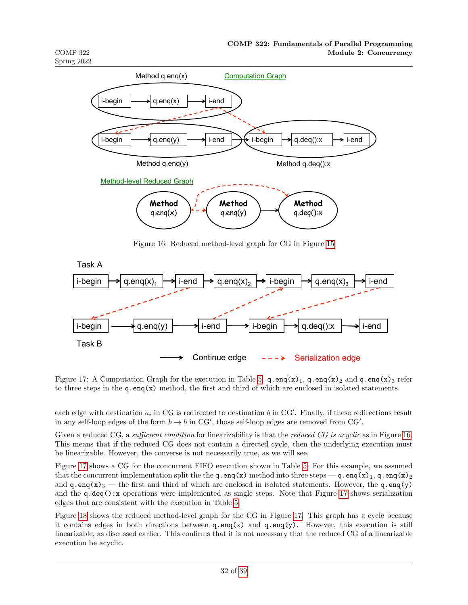

<span id="page-31-0"></span>Figure 16: Reduced method-level graph for CG in Figure [15](#page-30-0)



<span id="page-31-1"></span>Figure 17: A Computation Graph for the execution in Table [5.](#page-29-1)  $q$ .  $eng(x)_1$ ,  $q$ .  $eng(x)_2$  and  $q$ .  $eng(x)_3$  refer to three steps in the q.enq(x) method, the first and third of which are enclosed in isolated statements.

each edge with destination  $a_i$  in CG is redirected to destination b in CG'. Finally, if these redirections result in any self-loop edges of the form  $b \to b$  in CG', those self-loop edges are removed from CG'.

Given a reduced CG, a *sufficient condition* for linearizability is that the *reduced CG is acyclic* as in Figure [16.](#page-31-0) This means that if the reduced CG does not contain a directed cycle, then the underlying execution must be linearizable. However, the converse is not necessarily true, as we will see.

Figure [17](#page-31-1) shows a CG for the concurrent FIFO execution shown in Table [5.](#page-29-1) For this example, we assumed that the concurrent implementation split the the q.enq(x) method into three steps — q.enq(x)<sub>1</sub>, q.enq(x)<sub>2</sub> and  $q$ .eng(x)<sub>3</sub> — the first and third of which are enclosed in isolated statements. However, the q.eng(y) and the q.deq():x operations were implemented as single steps. Note that Figure [17](#page-31-1) shows serialization edges that are consistent with the execution in Table [5.](#page-29-1)

Figure [18](#page-32-1) shows the reduced method-level graph for the CG in Figure [17.](#page-31-1) This graph has a cycle because it contains edges in both directions between  $q$ .en $q(x)$  and  $q$ .en $q(y)$ . However, this execution is still linearizable, as discussed earlier. This confirms that it is not necessary that the reduced CG of a linearizable execution be acyclic.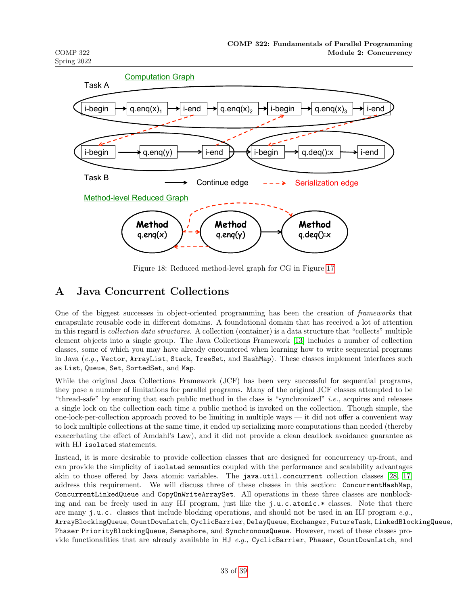

<span id="page-32-1"></span>Figure 18: Reduced method-level graph for CG in Figure [17](#page-31-1)

# <span id="page-32-0"></span>A Java Concurrent Collections

One of the biggest successes in object-oriented programming has been the creation of frameworks that encapsulate reusable code in different domains. A foundational domain that has received a lot of attention in this regard is collection data structures. A collection (container) is a data structure that "collects" multiple element objects into a single group. The Java Collections Framework [\[13\]](#page-37-14) includes a number of collection classes, some of which you may have already encountered when learning how to write sequential programs in Java  $(e.g.,$  Vector, ArrayList, Stack, TreeSet, and HashMap). These classes implement interfaces such as List, Queue, Set, SortedSet, and Map.

While the original Java Collections Framework (JCF) has been very successful for sequential programs, they pose a number of limitations for parallel programs. Many of the original JCF classes attempted to be "thread-safe" by ensuring that each public method in the class is "synchronized" i.e., acquires and releases a single lock on the collection each time a public method is invoked on the collection. Though simple, the one-lock-per-collection approach proved to be limiting in multiple ways — it did not offer a convenient way to lock multiple collections at the same time, it ended up serializing more computations than needed (thereby exacerbating the effect of Amdahl's Law), and it did not provide a clean deadlock avoidance guarantee as with HJ isolated statements.

Instead, it is more desirable to provide collection classes that are designed for concurrency up-front, and can provide the simplicity of isolated semantics coupled with the performance and scalability advantages akin to those offered by Java atomic variables. The java.util.concurrent collection classes [\[28,](#page-38-5) [17\]](#page-37-3) address this requirement. We will discuss three of these classes in this section: ConcurrentHashMap, ConcurrentLinkedQueue and CopyOnWriteArraySet. All operations in these three classes are nonblocking and can be freely used in any HJ program, just like the j.u.c.atomic.\* classes. Note that there are many j.u.c. classes that include blocking operations, and should not be used in an HJ program  $e.g.,$ ArrayBlockingQueue, CountDownLatch, CyclicBarrier, DelayQueue, Exchanger, FutureTask, LinkedBlockingQueue, Phaser PriorityBlockingQueue, Semaphore, and SynchronousQueue. However, most of these classes provide functionalities that are already available in HJ e.g., CyclicBarrier, Phaser, CountDownLatch, and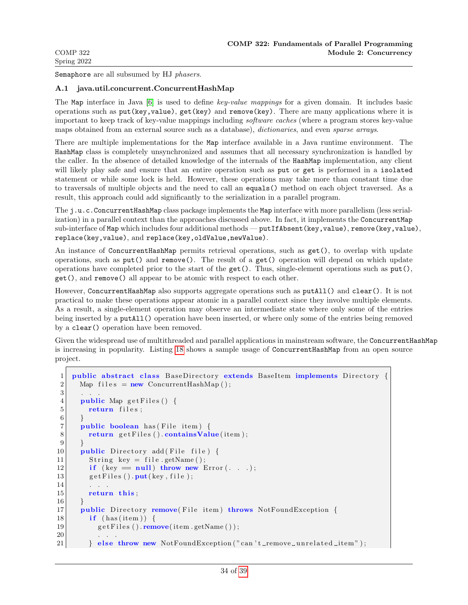Semaphore are all subsumed by HJ phasers.

#### <span id="page-33-0"></span>A.1 java.util.concurrent.ConcurrentHashMap

The Map interface in Java [\[6\]](#page-36-4) is used to define key-value mappings for a given domain. It includes basic operations such as put(key, value), get(key) and remove(key). There are many applications where it is important to keep track of key-value mappings including software caches (where a program stores key-value maps obtained from an external source such as a database), dictionaries, and even sparse arrays.

There are multiple implementations for the Map interface available in a Java runtime environment. The HashMap class is completely unsynchronized and assumes that all necessary synchronization is handled by the caller. In the absence of detailed knowledge of the internals of the HashMap implementation, any client will likely play safe and ensure that an entire operation such as put or get is performed in a isolated statement or while some lock is held. However, these operations may take more than constant time due to traversals of multiple objects and the need to call an equals() method on each object traversed. As a result, this approach could add significantly to the serialization in a parallel program.

The j.u.c.ConcurrentHashMap class package implements the Map interface with more parallelism (less serialization) in a parallel context than the approaches discussed above. In fact, it implements the ConcurrentMap sub-interface of Map which includes four additional methods — putIfAbsent(key, value), remove(key, value), replace(key,value), and replace(key,oldValue,newValue).

An instance of ConcurrentHashMap permits retrieval operations, such as  $get()$ , to overlap with update operations, such as put() and remove(). The result of a get() operation will depend on which update operations have completed prior to the start of the  $get()$ . Thus, single-element operations such as  $put()$ , get(), and remove() all appear to be atomic with respect to each other.

However, ConcurrentHashMap also supports aggregate operations such as putAll() and clear(). It is not practical to make these operations appear atomic in a parallel context since they involve multiple elements. As a result, a single-element operation may observe an intermediate state where only some of the entries being inserted by a putAll() operation have been inserted, or where only some of the entries being removed by a clear() operation have been removed.

Given the widespread use of multithreaded and parallel applications in mainstream software, the ConcurrentHashMap is increasing in popularity. Listing [18](#page-33-1) shows a sample usage of ConcurrentHashMap from an open source project.

```
1 public abstract class BaseDirectory extends BaseItem implements Directory {
2 Map files = new ConcurrentHashMap();
 3 . . .
4 public Map get Files () {
5 return files;
6 \rightarrow7 public boolean has (File item) {
|8| return get Files (). contains Value (item);
9 }
10 public Directory add (File file) {
11 String key = file.getName();
12 if (key = null) throw new Error (\ldots);
13 get Files (). put (key, file);
14 . . .
15 return this;
16 }
17 public Directory remove (File item) throws NotFoundException {
18 if (has (item)) {
19 \left| \right| get Files (). remove (item.getName ());
20\,21 } else throw new NotFoundException ("can 't_remove_unrelated_item");
```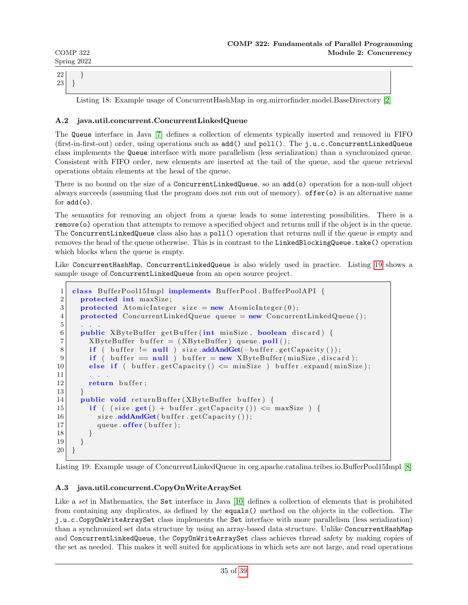| COMP <sub>322</sub><br>Spring 2022 |  | CONI 322. Fundamentals of Farance Flogramming | Module 2: Concurrency |  |
|------------------------------------|--|-----------------------------------------------|-----------------------|--|
| 22<br> 23                          |  |                                               |                       |  |

COMP 322: Fundamentals of Parallel Programming

Listing 18: Example usage of ConcurrentHashMap in org.mirrorfinder.model.BaseDirectory [\[2\]](#page-36-5)

### <span id="page-34-0"></span>A.2 java.util.concurrent.ConcurrentLinkedQueue

The Queue interface in Java [\[7\]](#page-36-6) defines a collection of elements typically inserted and removed in FIFO (first-in-first-out) order, using operations such as add() and poll(). The j.u.c.ConcurrentLinkedQueue class implements the Queue interface with more parallelism (less serialization) than a synchronized queue. Consistent with FIFO order, new elements are inserted at the tail of the queue, and the queue retrieval operations obtain elements at the head of the queue.

There is no bound on the size of a ConcurrentLinkedQueue, so an add(o) operation for a non-null object always succeeds (assuming that the program does not run out of memory). offer(o) is an alternative name for  $add(o)$ .

The semantics for removing an object from a queue leads to some interesting possibilities. There is a remove(o) operation that attempts to remove a specified object and returns null if the object is in the queue. The ConcurrentLinkedQueue class also has a poll() operation that returns null if the queue is empty and removes the head of the queue otherwise. This is in contrast to the LinkedBlockingQueue.take() operation which blocks when the queue is empty.

Like ConcurrentHashMap, ConcurrentLinkedQueue is also widely used in practice. Listing [19](#page-34-2) shows a sample usage of ConcurrentLinkedQueue from an open source project.

```
1 class BufferPool15Impl implements BufferPool.BufferPoolAPI {
2 protected int maxSize;
3 protected AtomicInteger size = new AtomicInteger (0);
4 protected ConcurrentLinkedQueue queue = new ConcurrentLinkedQueue ();
 5 . . .
6 public XByteBuffer getBuffer (int minSize, boolean discard) {
7 XByteBuffer buffer = (XByteBuffer) queue . poll ();
8 if ( buffer != null ) size.addAndGet(-buffer.getCapacity());
9 if ( buffer = null ) buffer = new XByteBuffer (minSize, discard);
10 else if ( buffer .getCapacity () \leq minSize ) buffer .expand (minSize);
11 . .
12 return buffer;
13 }
14 public void returnBuffer (XByteBuffer buffer) {
15 if ( (size \text{get}() + buffer \text{getCapacity}() \leq maxSize ) {
16 size \cdot addAndGet(buffer.getCapacity());17 queue . offer ( buffer );
18 }
19 }
20 }
```
Listing 19: Example usage of ConcurrentLinkedQueue in org.apache.catalina.tribes.io.BufferPool15Impl [\[8\]](#page-36-7)

#### <span id="page-34-1"></span>A.3 java.util.concurrent.CopyOnWriteArraySet

Like a set in Mathematics, the Set interface in Java [\[10\]](#page-37-15) defines a collection of elements that is prohibited from containing any duplicates, as defined by the equals() method on the objects in the collection. The j.u.c.CopyOnWriteArraySet class implements the Set interface with more parallelism (less serialization) than a synchronized set data structure by using an array-based data structure. Unlike ConcurrentHashMap and ConcurrentLinkedQueue, the CopyOnWriteArraySet class achieves thread safety by making copies of the set as needed. This makes it well suited for applications in which sets are not large, and read operations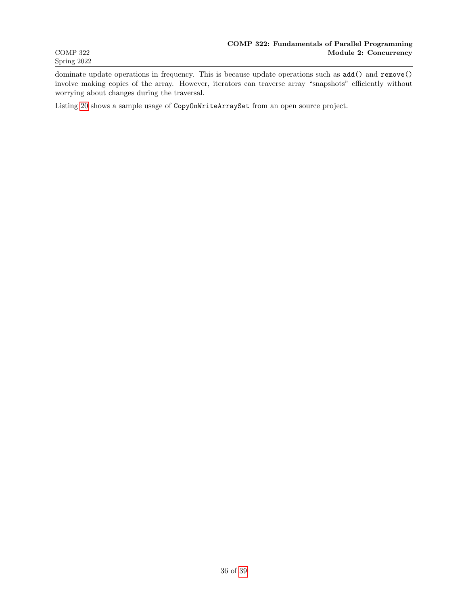dominate update operations in frequency. This is because update operations such as add() and remove() involve making copies of the array. However, iterators can traverse array "snapshots" efficiently without worrying about changes during the traversal.

Listing [20](#page-36-8) shows a sample usage of CopyOnWriteArraySet from an open source project.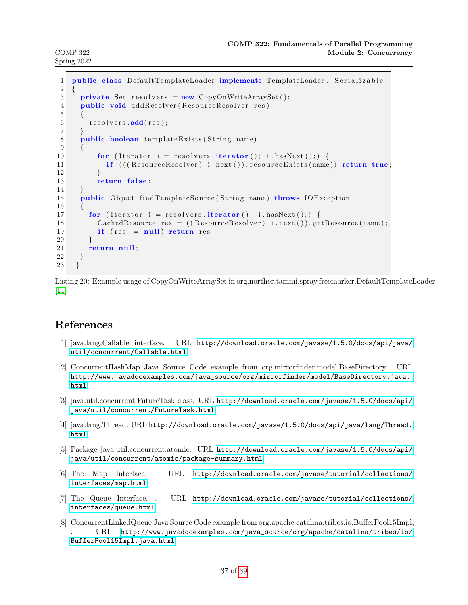```
1 public class Default TemplateLoader implements TemplateLoader, Serializable
\overline{2}3 private Set resolvers = new CopyOnWriteArraySet();
4 public void addResolver (ResourceResolver res)
5 {
6 resolvers.add(res);
7 }
8 public boolean template Exists (String name)
9 {
10 for (Iterator i = resolvers.iterator (); i.hasNext();) {
11 if (( ( ( Resource Resolver ) i. next ( ) ). resource Exists (name ) ) return true
|12| }
13 return false;
14 }
15 public Object findTemplateSource (String name) throws IOException
16 {
17 for (Iterator i = resolvers iterator (); i hasNext();) {
18 CachedResource res = ((ResourceResolver) i.next()).getResource(name);19 if (res != null) return res;
20 }
21 return null;
|22| }
|23| }
```
Listing 20: Example usage of CopyOnWriteArraySet in org.norther.tammi.spray.freemarker.DefaultTemplateLoader [\[11\]](#page-37-16)

# References

- <span id="page-36-2"></span>[1] java.lang.Callable interface. URL [http://download.oracle.com/javase/1.5.0/docs/api/java/](http://download.oracle.com/javase/1.5.0/docs/api/java/util/concurrent/Callable.html) [util/concurrent/Callable.html](http://download.oracle.com/javase/1.5.0/docs/api/java/util/concurrent/Callable.html).
- <span id="page-36-5"></span>[2] ConcurrentHashMap Java Source Code example from org.mirrorfinder.model.BaseDirectory. URL [http://www.javadocexamples.com/java\\_source/org/mirrorfinder/model/BaseDirectory.java.](http://www.javadocexamples.com/java_source/org/mirrorfinder/model/BaseDirectory.java.html) [html](http://www.javadocexamples.com/java_source/org/mirrorfinder/model/BaseDirectory.java.html).
- <span id="page-36-3"></span>[3] java.util.concurrent.FutureTask class. URL [http://download.oracle.com/javase/1.5.0/docs/api/](http://download.oracle.com/javase/1.5.0/docs/api/java/util/concurrent/FutureTask.html) [java/util/concurrent/FutureTask.html](http://download.oracle.com/javase/1.5.0/docs/api/java/util/concurrent/FutureTask.html).
- <span id="page-36-1"></span>[4] java.lang.Thread. URL [http://download.oracle.com/javase/1.5.0/docs/api/java/lang/Thread.](http://download.oracle.com/javase/1.5.0/docs/api/java/lang/Thread.html) [html](http://download.oracle.com/javase/1.5.0/docs/api/java/lang/Thread.html).
- <span id="page-36-0"></span>[5] Package java.util.concurrent.atomic. URL [http://download.oracle.com/javase/1.5.0/docs/api/](http://download.oracle.com/javase/1.5.0/docs/api/java/util/concurrent/atomic/package-summary.html) [java/util/concurrent/atomic/package-summary.html](http://download.oracle.com/javase/1.5.0/docs/api/java/util/concurrent/atomic/package-summary.html).
- <span id="page-36-4"></span>[6] The Map Interface. URL [http://download.oracle.com/javase/tutorial/collections/](http://download.oracle.com/javase/tutorial/collections/interfaces/map.html) [interfaces/map.html](http://download.oracle.com/javase/tutorial/collections/interfaces/map.html).
- <span id="page-36-6"></span>[7] The Queue Interface, . URL [http://download.oracle.com/javase/tutorial/collections/](http://download.oracle.com/javase/tutorial/collections/interfaces/queue.html) [interfaces/queue.html](http://download.oracle.com/javase/tutorial/collections/interfaces/queue.html).
- <span id="page-36-7"></span>[8] ConcurrentLinkedQueue Java Source Code example from org.apache.catalina.tribes.io.BufferPool15Impl, . URL [http://www.javadocexamples.com/java\\_source/org/apache/catalina/tribes/io/](http://www.javadocexamples.com/java_source/org/apache/catalina/tribes/io/BufferPool15Impl.java.html) [BufferPool15Impl.java.html](http://www.javadocexamples.com/java_source/org/apache/catalina/tribes/io/BufferPool15Impl.java.html).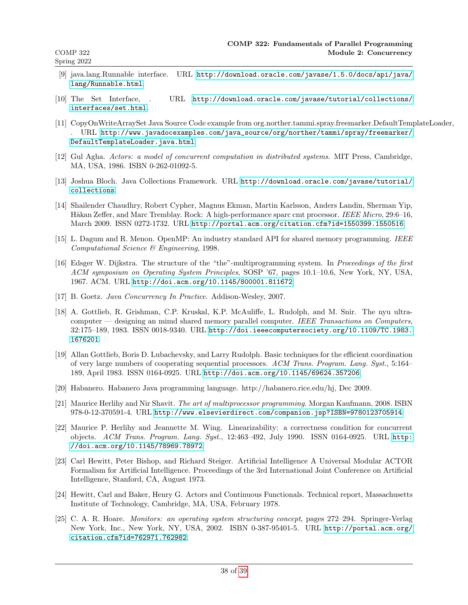- <span id="page-37-10"></span>[9] java.lang.Runnable interface. URL [http://download.oracle.com/javase/1.5.0/docs/api/java/](http://download.oracle.com/javase/1.5.0/docs/api/java/lang/Runnable.html) [lang/Runnable.html](http://download.oracle.com/javase/1.5.0/docs/api/java/lang/Runnable.html).
- <span id="page-37-15"></span>[10] The Set Interface, . URL [http://download.oracle.com/javase/tutorial/collections/](http://download.oracle.com/javase/tutorial/collections/interfaces/set.html) [interfaces/set.html](http://download.oracle.com/javase/tutorial/collections/interfaces/set.html).
- <span id="page-37-16"></span>[11] CopyOnWriteArraySet Java Source Code example from org.norther.tammi.spray.freemarker.DefaultTemplateLoader, . URL [http://www.javadocexamples.com/java\\_source/org/norther/tammi/spray/freemarker/](http://www.javadocexamples.com/java_source/org/norther/tammi/spray/freemarker/DefaultTemplateLoader.java.html) [DefaultTemplateLoader.java.html](http://www.javadocexamples.com/java_source/org/norther/tammi/spray/freemarker/DefaultTemplateLoader.java.html).
- <span id="page-37-8"></span>[12] Gul Agha. Actors: a model of concurrent computation in distributed systems. MIT Press, Cambridge, MA, USA, 1986. ISBN 0-262-01092-5.
- <span id="page-37-14"></span>[13] Joshua Bloch. Java Collections Framework. URL [http://download.oracle.com/javase/tutorial/](http://download.oracle.com/javase/tutorial/collections) [collections](http://download.oracle.com/javase/tutorial/collections).
- <span id="page-37-1"></span>[14] Shailender Chaudhry, Robert Cypher, Magnus Ekman, Martin Karlsson, Anders Landin, Sherman Yip, Håkan Zeffer, and Marc Tremblay. Rock: A high-performance sparc cmt processor. IEEE Micro, 29:6–16, March 2009. ISSN 0272-1732. URL <http://portal.acm.org/citation.cfm?id=1550399.1550516>.
- <span id="page-37-9"></span>[15] L. Dagum and R. Menon. OpenMP: An industry standard API for shared memory programming. IEEE Computational Science & Engineering, 1998.
- <span id="page-37-0"></span>[16] Edsger W. Dijkstra. The structure of the "the"-multiprogramming system. In Proceedings of the first ACM symposium on Operating System Principles, SOSP '67, pages 10.1–10.6, New York, NY, USA, 1967. ACM. URL <http://doi.acm.org/10.1145/800001.811672>.
- <span id="page-37-3"></span>[17] B. Goetz. Java Concurrency In Practice. Addison-Wesley, 2007.
- <span id="page-37-5"></span>[18] A. Gottlieb, R. Grishman, C.P. Kruskal, K.P. McAuliffe, L. Rudolph, and M. Snir. The nyu ultracomputer — designing an mimd shared memory parallel computer. IEEE Transactions on Computers, 32:175–189, 1983. ISSN 0018-9340. URL [http://doi.ieeecomputersociety.org/10.1109/TC.1983.](http://doi.ieeecomputersociety.org/10.1109/TC.1983.1676201) [1676201](http://doi.ieeecomputersociety.org/10.1109/TC.1983.1676201).
- <span id="page-37-4"></span>[19] Allan Gottlieb, Boris D. Lubachevsky, and Larry Rudolph. Basic techniques for the efficient coordination of very large numbers of cooperating sequential processors. ACM Trans. Program. Lang. Syst., 5:164– 189, April 1983. ISSN 0164-0925. URL <http://doi.acm.org/10.1145/69624.357206>.
- <span id="page-37-2"></span>[20] Habanero. Habanero Java programming language. http://habanero.rice.edu/hj, Dec 2009.
- <span id="page-37-13"></span>[21] Maurice Herlihy and Nir Shavit. The art of multiprocessor programming. Morgan Kaufmann, 2008. ISBN 978-0-12-370591-4. URL <http://www.elsevierdirect.com/companion.jsp?ISBN=9780123705914>.
- <span id="page-37-12"></span>[22] Maurice P. Herlihy and Jeannette M. Wing. Linearizability: a correctness condition for concurrent objects. ACM Trans. Program. Lang. Syst., 12:463–492, July 1990. ISSN 0164-0925. URL [http:](http://doi.acm.org/10.1145/78969.78972) [//doi.acm.org/10.1145/78969.78972](http://doi.acm.org/10.1145/78969.78972).
- <span id="page-37-6"></span>[23] Carl Hewitt, Peter Bishop, and Richard Steiger. Artificial Intelligence A Universal Modular ACTOR Formalism for Artificial Intelligence. Proceedings of the 3rd International Joint Conference on Artificial Intelligence, Stanford, CA, August 1973.
- <span id="page-37-7"></span>[24] Hewitt, Carl and Baker, Henry G. Actors and Continuous Functionals. Technical report, Massachusetts Institute of Technology, Cambridge, MA, USA, February 1978.
- <span id="page-37-11"></span>[25] C. A. R. Hoare. Monitors: an operating system structuring concept, pages 272–294. Springer-Verlag New York, Inc., New York, NY, USA, 2002. ISBN 0-387-95401-5. URL [http://portal.acm.org/](http://portal.acm.org/citation.cfm?id=762971.762982) [citation.cfm?id=762971.762982](http://portal.acm.org/citation.cfm?id=762971.762982).